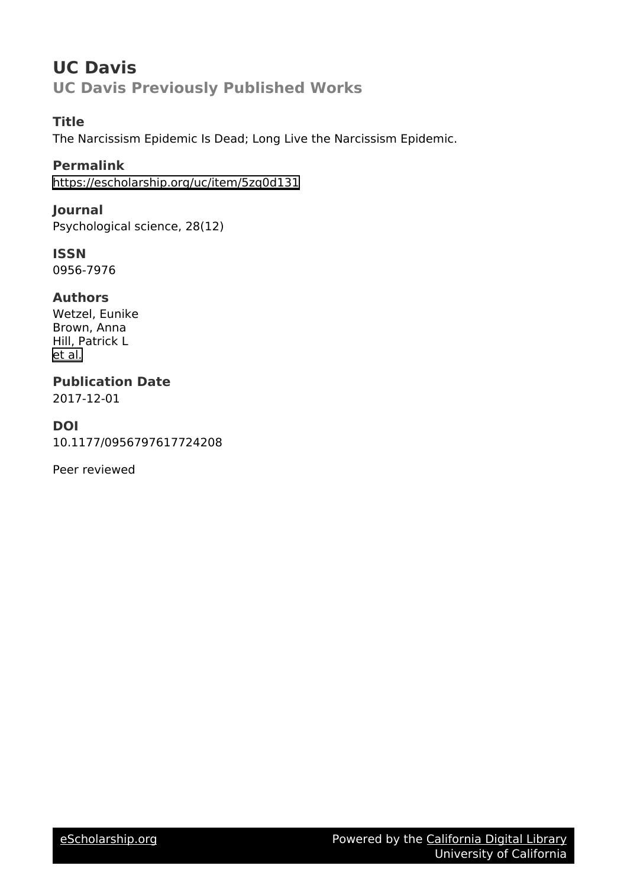# **UC Davis UC Davis Previously Published Works**

## **Title**

The Narcissism Epidemic Is Dead; Long Live the Narcissism Epidemic.

**Permalink** <https://escholarship.org/uc/item/5zq0d131>

**Journal** Psychological science, 28(12)

**ISSN** 0956-7976

## **Authors**

Wetzel, Eunike Brown, Anna Hill, Patrick L [et al.](https://escholarship.org/uc/item/5zq0d131#author)

**Publication Date** 2017-12-01

## **DOI**

10.1177/0956797617724208

Peer reviewed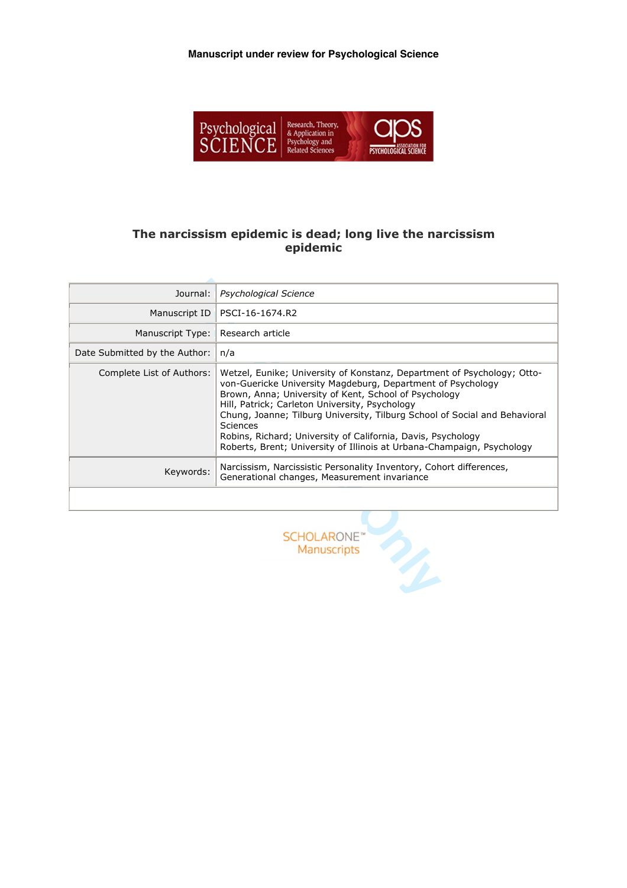**Manuscript under review for Psychological Science**



## **The narcissism epidemic is dead; long live the narcissism epidemic**

| Journal:                      | <b>Psychological Science</b>                                                                                                                                                                                                                                                                                                                                                                                                                                                                 |
|-------------------------------|----------------------------------------------------------------------------------------------------------------------------------------------------------------------------------------------------------------------------------------------------------------------------------------------------------------------------------------------------------------------------------------------------------------------------------------------------------------------------------------------|
| Manuscript ID                 | PSCI-16-1674.R2                                                                                                                                                                                                                                                                                                                                                                                                                                                                              |
| Manuscript Type:              | Research article                                                                                                                                                                                                                                                                                                                                                                                                                                                                             |
| Date Submitted by the Author: | n/a                                                                                                                                                                                                                                                                                                                                                                                                                                                                                          |
| Complete List of Authors:     | Wetzel, Eunike; University of Konstanz, Department of Psychology; Otto-<br>von-Guericke University Magdeburg, Department of Psychology<br>Brown, Anna; University of Kent, School of Psychology<br>Hill, Patrick; Carleton University, Psychology<br>Chung, Joanne; Tilburg University, Tilburg School of Social and Behavioral<br><b>Sciences</b><br>Robins, Richard; University of California, Davis, Psychology<br>Roberts, Brent; University of Illinois at Urbana-Champaign, Psychology |
| Keywords:                     | Narcissism, Narcissistic Personality Inventory, Cohort differences,<br>Generational changes, Measurement invariance                                                                                                                                                                                                                                                                                                                                                                          |
|                               |                                                                                                                                                                                                                                                                                                                                                                                                                                                                                              |

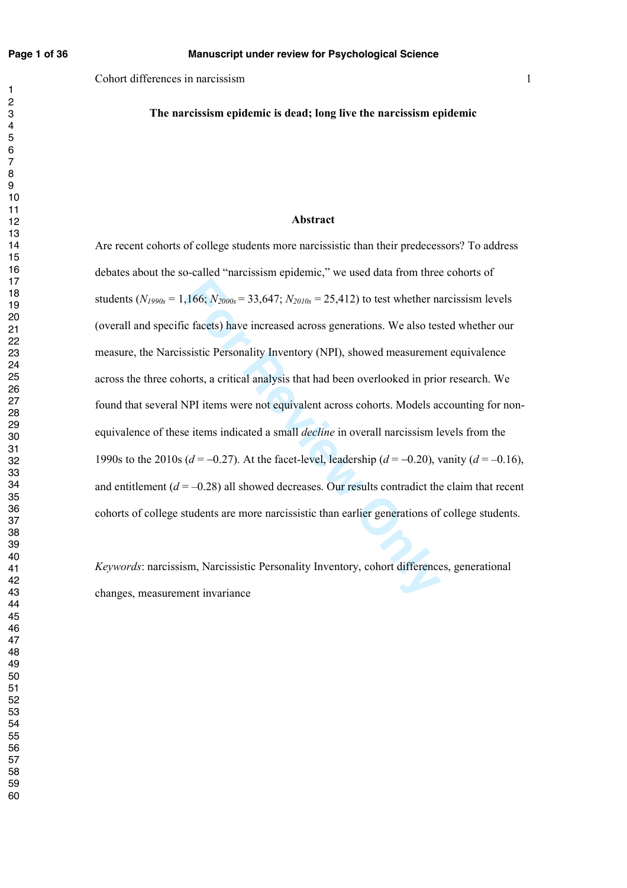**The narcissism epidemic is dead; long live the narcissism epidemic** 

#### **Abstract**

,166;  $N_{2000s} = 33,647$ ;  $N_{2010s} = 25,412$ ) to test whether nac facets) have increased across generations. We also test sistic Personality Inventory (NPI), showed measurement norts, a critical analysis that had been ove Are recent cohorts of college students more narcissistic than their predecessors? To address debates about the so-called "narcissism epidemic," we used data from three cohorts of students ( $N_{1990s} = 1,166$ ;  $N_{2000s} = 33,647$ ;  $N_{2010s} = 25,412$ ) to test whether narcissism levels (overall and specific facets) have increased across generations. We also tested whether our measure, the Narcissistic Personality Inventory (NPI), showed measurement equivalence across the three cohorts, a critical analysis that had been overlooked in prior research. We found that several NPI items were not equivalent across cohorts. Models accounting for nonequivalence of these items indicated a small *decline* in overall narcissism levels from the 1990s to the 2010s ( $d = -0.27$ ). At the facet-level, leadership ( $d = -0.20$ ), vanity ( $d = -0.16$ ), and entitlement  $(d = -0.28)$  all showed decreases. Our results contradict the claim that recent cohorts of college students are more narcissistic than earlier generations of college students.

*Keywords*: narcissism, Narcissistic Personality Inventory, cohort differences, generational changes, measurement invariance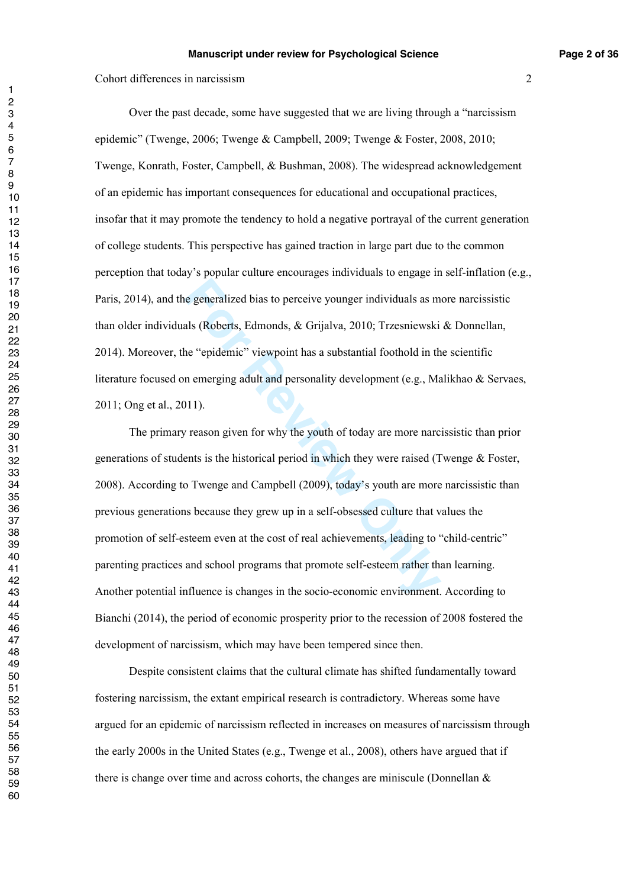Over the past decade, some have suggested that we are living through a "narcissism epidemic" (Twenge, 2006; Twenge & Campbell, 2009; Twenge & Foster, 2008, 2010; Twenge, Konrath, Foster, Campbell, & Bushman, 2008). The widespread acknowledgement of an epidemic has important consequences for educational and occupational practices, insofar that it may promote the tendency to hold a negative portrayal of the current generation of college students. This perspective has gained traction in large part due to the common perception that today's popular culture encourages individuals to engage in self-inflation (e.g., Paris, 2014), and the generalized bias to perceive younger individuals as more narcissistic than older individuals (Roberts, Edmonds, & Grijalva, 2010; Trzesniewski & Donnellan, 2014). Moreover, the "epidemic" viewpoint has a substantial foothold in the scientific literature focused on emerging adult and personality development (e.g., Malikhao & Servaes, 2011; Ong et al., 2011).

**Example 18 Example 10** as to perceive younger individuals as mals (Roberts, Edmonds, & Grijalva, 2010; Trzesniewski ne "epidemic" viewpoint has a substantial foothold in the n emerging adult and personality development (e The primary reason given for why the youth of today are more narcissistic than prior generations of students is the historical period in which they were raised (Twenge & Foster, 2008). According to Twenge and Campbell (2009), today's youth are more narcissistic than previous generations because they grew up in a self-obsessed culture that values the promotion of self-esteem even at the cost of real achievements, leading to "child-centric" parenting practices and school programs that promote self-esteem rather than learning. Another potential influence is changes in the socio-economic environment. According to Bianchi (2014), the period of economic prosperity prior to the recession of 2008 fostered the development of narcissism, which may have been tempered since then.

Despite consistent claims that the cultural climate has shifted fundamentally toward fostering narcissism, the extant empirical research is contradictory. Whereas some have argued for an epidemic of narcissism reflected in increases on measures of narcissism through the early 2000s in the United States (e.g., Twenge et al., 2008), others have argued that if there is change over time and across cohorts, the changes are miniscule (Donnellan &

 $\blacksquare$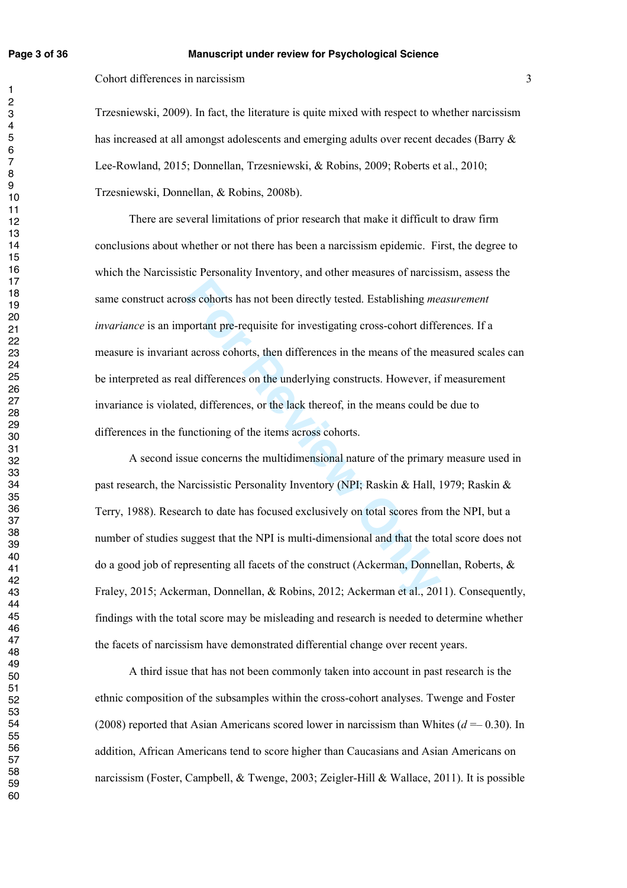#### **Page 3 of 36 Manuscript under review for Psychological Science**

Cohort differences in narcissism 3

Trzesniewski, 2009). In fact, the literature is quite mixed with respect to whether narcissism has increased at all amongst adolescents and emerging adults over recent decades (Barry  $\&$ Lee-Rowland, 2015; Donnellan, Trzesniewski, & Robins, 2009; Roberts et al., 2010; Trzesniewski, Donnellan, & Robins, 2008b).

bos cohorts has not been directly tested. Establishing *mee*<br>portant pre-requisite for investigating cross-cohort differ<br>t across cohorts, then differences in the means of the me<br>al differences on the underlying constructs There are several limitations of prior research that make it difficult to draw firm conclusions about whether or not there has been a narcissism epidemic. First, the degree to which the Narcissistic Personality Inventory, and other measures of narcissism, assess the same construct across cohorts has not been directly tested. Establishing *measurement invariance* is an important pre-requisite for investigating cross-cohort differences. If a measure is invariant across cohorts, then differences in the means of the measured scales can be interpreted as real differences on the underlying constructs. However, if measurement invariance is violated, differences, or the lack thereof, in the means could be due to differences in the functioning of the items across cohorts.

A second issue concerns the multidimensional nature of the primary measure used in past research, the Narcissistic Personality Inventory (NPI; Raskin & Hall, 1979; Raskin & Terry, 1988). Research to date has focused exclusively on total scores from the NPI, but a number of studies suggest that the NPI is multi-dimensional and that the total score does not do a good job of representing all facets of the construct (Ackerman, Donnellan, Roberts, & Fraley, 2015; Ackerman, Donnellan, & Robins, 2012; Ackerman et al., 2011). Consequently, findings with the total score may be misleading and research is needed to determine whether the facets of narcissism have demonstrated differential change over recent years.

A third issue that has not been commonly taken into account in past research is the ethnic composition of the subsamples within the cross-cohort analyses. Twenge and Foster (2008) reported that Asian Americans scored lower in narcissism than Whites  $(d = 0.30)$ . In addition, African Americans tend to score higher than Caucasians and Asian Americans on narcissism (Foster, Campbell, & Twenge, 2003; Zeigler-Hill & Wallace, 2011). It is possible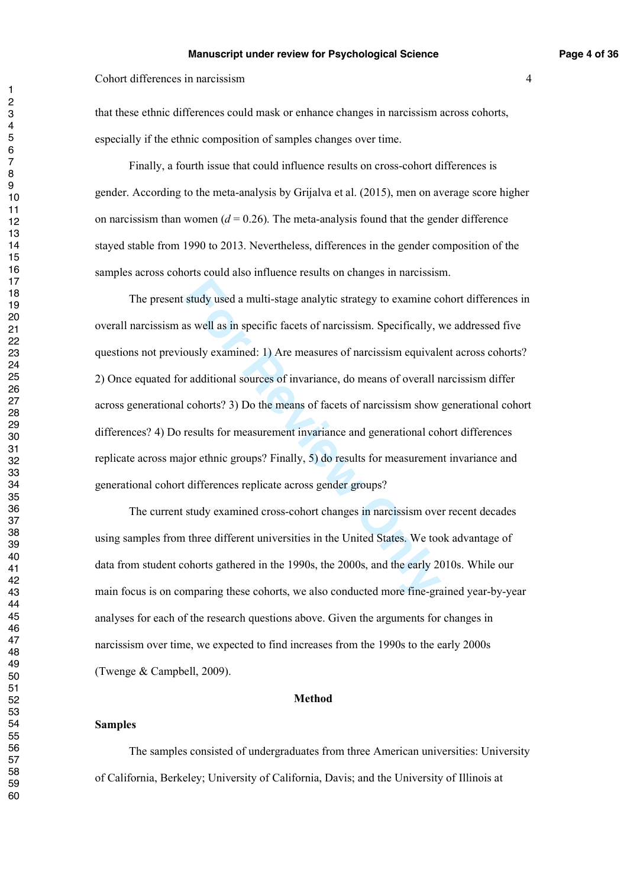that these ethnic differences could mask or enhance changes in narcissism across cohorts, especially if the ethnic composition of samples changes over time.

Finally, a fourth issue that could influence results on cross-cohort differences is gender. According to the meta-analysis by Grijalva et al. (2015), men on average score higher on narcissism than women  $(d = 0.26)$ . The meta-analysis found that the gender difference stayed stable from 1990 to 2013. Nevertheless, differences in the gender composition of the samples across cohorts could also influence results on changes in narcissism.

study used a multi-stage analytic strategy to examine consequently as well as in specific facets of narcissism. Specifically, vously examined: 1) Are measures of narcissism equivale radditional sources of invariance, do me The present study used a multi-stage analytic strategy to examine cohort differences in overall narcissism as well as in specific facets of narcissism. Specifically, we addressed five questions not previously examined: 1) Are measures of narcissism equivalent across cohorts? 2) Once equated for additional sources of invariance, do means of overall narcissism differ across generational cohorts? 3) Do the means of facets of narcissism show generational cohort differences? 4) Do results for measurement invariance and generational cohort differences replicate across major ethnic groups? Finally, 5) do results for measurement invariance and generational cohort differences replicate across gender groups?

The current study examined cross-cohort changes in narcissism over recent decades using samples from three different universities in the United States. We took advantage of data from student cohorts gathered in the 1990s, the 2000s, and the early 2010s. While our main focus is on comparing these cohorts, we also conducted more fine-grained year-by-year analyses for each of the research questions above. Given the arguments for changes in narcissism over time, we expected to find increases from the 1990s to the early 2000s (Twenge & Campbell, 2009).

#### **Method**

#### **Samples**

 The samples consisted of undergraduates from three American universities: University of California, Berkeley; University of California, Davis; and the University of Illinois at

 $\blacksquare$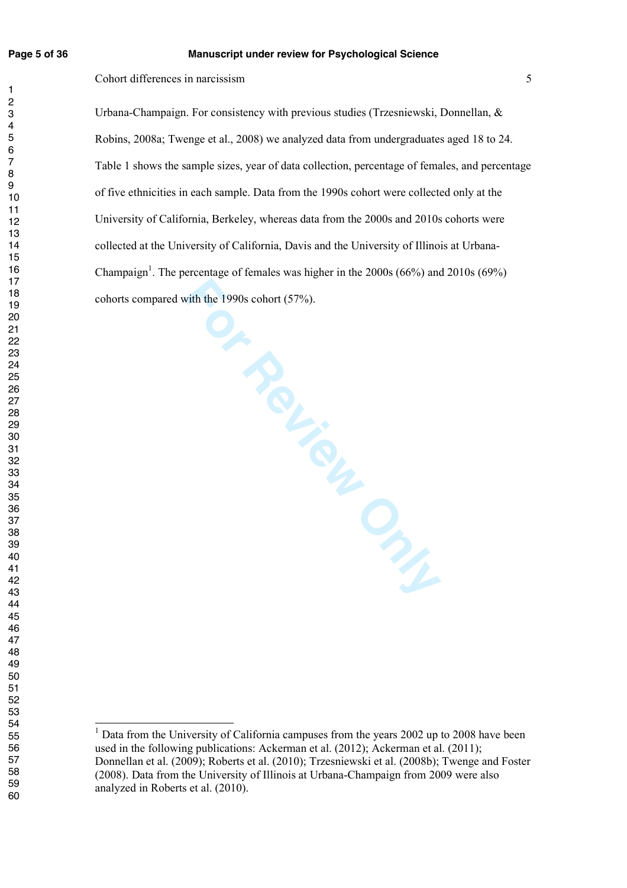#### **Page 5 of 36 Manuscript under review for Psychological Science**

Cohort differences in narcissism 5

**PROVENCEAL ONLY** Urbana-Champaign. For consistency with previous studies (Trzesniewski, Donnellan, & Robins, 2008a; Twenge et al., 2008) we analyzed data from undergraduates aged 18 to 24. Table 1 shows the sample sizes, year of data collection, percentage of females, and percentage of five ethnicities in each sample. Data from the 1990s cohort were collected only at the University of California, Berkeley, whereas data from the 2000s and 2010s cohorts were collected at the University of California, Davis and the University of Illinois at Urbana-Champaign<sup>1</sup>. The percentage of females was higher in the  $2000s (66%)$  and  $2010s (69%)$ cohorts compared with the 1990s cohort (57%).

<sup>&</sup>lt;sup>1</sup> Data from the University of California campuses from the years 2002 up to 2008 have been used in the following publications: Ackerman et al. (2012); Ackerman et al. (2011); Donnellan et al. (2009); Roberts et al. (2010); Trzesniewski et al. (2008b); Twenge and Foster (2008). Data from the University of Illinois at Urbana-Champaign from 2009 were also analyzed in Roberts et al. (2010).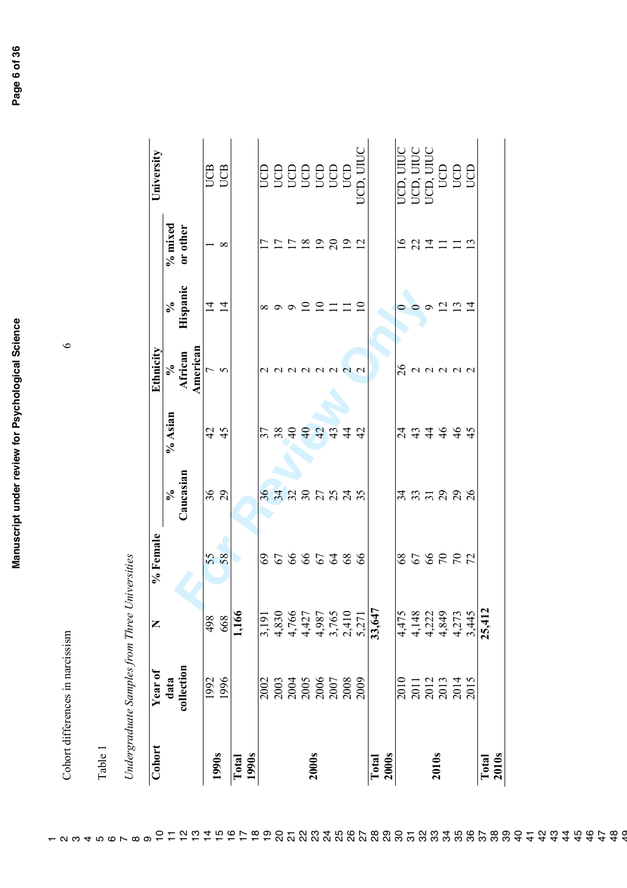Cohort differences in narcissism 6 Cohort differences in narcissism

Table 1

|   | ∖<br>ויני השייני                |
|---|---------------------------------|
|   | Ihree                           |
|   | $m$ nn n $\alpha$<br>$\ddot{ }$ |
|   |                                 |
| l |                                 |
|   | MOMOMOMOM1<br>べつろう<br>١         |
|   |                                 |

| Cohort         | Year of                                                             | Z                       | % Female        |                                    |                               | Ethnicity                     |                                                                          |           | University |
|----------------|---------------------------------------------------------------------|-------------------------|-----------------|------------------------------------|-------------------------------|-------------------------------|--------------------------------------------------------------------------|-----------|------------|
|                | data                                                                |                         |                 | $\sqrt{6}$                         | % Asian                       |                               | $\mathcal{S}_{\mathbf{0}}$                                               | $%$ mixed |            |
|                | collection                                                          |                         |                 | Caucasian                          |                               | %<br>African                  | Hispanic                                                                 | or other  |            |
|                |                                                                     |                         |                 |                                    |                               |                               |                                                                          |           |            |
|                | 1992                                                                | 498<br>668              |                 |                                    |                               |                               | $\frac{4}{4}$                                                            |           |            |
| 1990s          | 1996                                                                |                         | 58              | $36$<br>29                         | $4\frac{1}{4}$                | African<br>American<br>7<br>5 |                                                                          | ∞         | <b>ES</b>  |
| 1990s<br>Total |                                                                     | 1,166                   |                 |                                    |                               |                               |                                                                          |           |            |
|                | 2002                                                                | 3,191                   |                 |                                    |                               |                               |                                                                          |           |            |
|                |                                                                     | 4,830                   |                 |                                    |                               |                               |                                                                          |           |            |
|                |                                                                     |                         |                 |                                    |                               |                               |                                                                          |           |            |
|                |                                                                     | 4,766<br>4,427          |                 |                                    |                               |                               |                                                                          |           |            |
| <b>2000s</b>   |                                                                     | 4,987                   |                 |                                    |                               |                               |                                                                          |           |            |
|                | 003<br>004 006<br>006 006 006<br>006 006 006                        |                         | 86866388        | 8 4 8 9 5 7 4 7<br>8 4 8 9 5 7 4 7 |                               | 00000000                      | $\infty$ on on $\Omega$ $\Omega$ $\square$ $\square$ $\square$ $\square$ | 11222221  |            |
|                |                                                                     | 3,765<br>2,410          |                 |                                    |                               |                               |                                                                          |           |            |
|                |                                                                     | 5,271                   |                 |                                    |                               |                               |                                                                          |           |            |
| Total          |                                                                     | 33,647                  |                 |                                    |                               |                               |                                                                          |           |            |
| <b>2000s</b>   |                                                                     |                         |                 |                                    |                               |                               |                                                                          |           |            |
|                | 2010                                                                | 4,475                   |                 |                                    |                               |                               |                                                                          |           |            |
|                | $\begin{array}{c} 2011 \\ 2012 \\ 2013 \\ 2014 \\ 2015 \end{array}$ | 4,148                   | <b>25885228</b> | 3 3 3 3 9 9<br>3 4 5 9 9 9 9       | 1<br>4 4 4 4 4 4<br>4 4 4 4 4 | gaaaaa                        | $\circ$                                                                  | 1921111   |            |
| <b>2010s</b>   |                                                                     |                         |                 |                                    |                               |                               | $\circ$                                                                  |           |            |
|                |                                                                     | 4,222<br>4,849<br>4,273 |                 |                                    |                               |                               | 221                                                                      |           |            |
|                |                                                                     |                         |                 |                                    |                               |                               |                                                                          |           |            |
|                |                                                                     | 3,445                   |                 |                                    |                               |                               |                                                                          |           |            |
| Total          |                                                                     | 25,412                  |                 |                                    |                               |                               |                                                                          |           |            |
| <b>2010s</b>   |                                                                     |                         |                 |                                    |                               |                               |                                                                          |           |            |

 $\circ$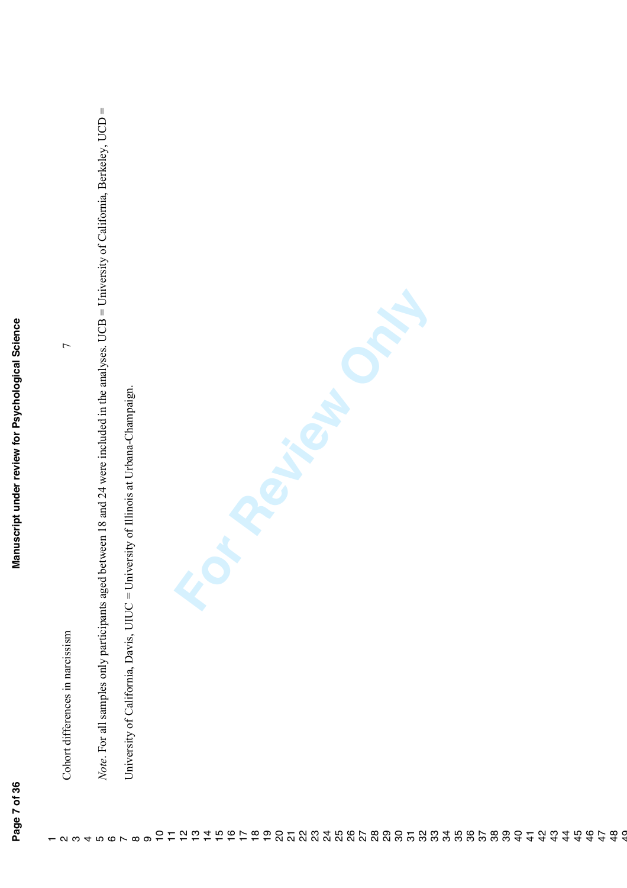Note. For all samples only participants aged between 18 and 24 were included in the analyses. UCB = University of California, Berkeley, UCD = *Note*. For all samples only participants aged between 18 and 24 were included in the analyses. UCB = University of California, Berkeley, UCD = **France** Cohort differences in narcissism 7  $\overline{C}$ University of California, Davis, UIUC = University of Illinois at Urbana-Champaign. University of California, Davis, UIUC = University of Illinois at Urbana-Champaign. Cohort differences in narcissism 10 11 12 13 14 15 16 17 18 19 20 21 22 23 24 25 26 27 28 29 30 31 32 33 34 35 36 37 38 39 40 41 42 43 44 45 46 47 48 49  $\alpha$   $\omega$   $+$   $\alpha$   $\alpha$   $\alpha$   $\alpha$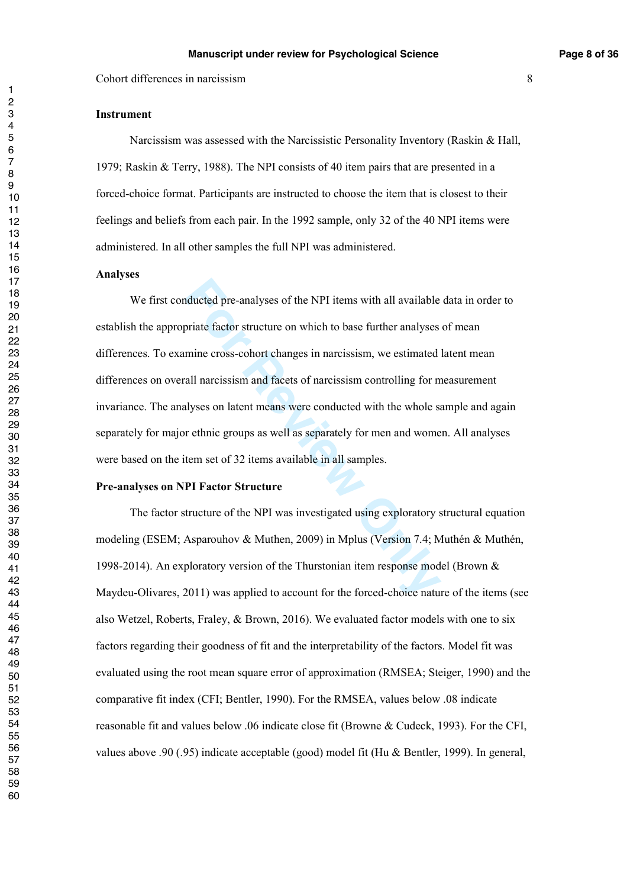#### **Instrument**

Narcissism was assessed with the Narcissistic Personality Inventory (Raskin & Hall, 1979; Raskin & Terry, 1988). The NPI consists of 40 item pairs that are presented in a forced-choice format. Participants are instructed to choose the item that is closest to their feelings and beliefs from each pair. In the 1992 sample, only 32 of the 40 NPI items were administered. In all other samples the full NPI was administered.

#### **Analyses**

nducted pre-analyses of the NPI items with all available priate factor structure on which to base further analyses mine cross-cohort changes in narcissism, we estimated lall narcissism and facets of narcissism controlling We first conducted pre-analyses of the NPI items with all available data in order to establish the appropriate factor structure on which to base further analyses of mean differences. To examine cross-cohort changes in narcissism, we estimated latent mean differences on overall narcissism and facets of narcissism controlling for measurement invariance. The analyses on latent means were conducted with the whole sample and again separately for major ethnic groups as well as separately for men and women. All analyses were based on the item set of 32 items available in all samples.

#### **Pre-analyses on NPI Factor Structure**

 The factor structure of the NPI was investigated using exploratory structural equation modeling (ESEM; Asparouhov & Muthen, 2009) in Mplus (Version 7.4; Muthén & Muthén, 1998-2014). An exploratory version of the Thurstonian item response model (Brown & Maydeu-Olivares, 2011) was applied to account for the forced-choice nature of the items (see also Wetzel, Roberts, Fraley, & Brown, 2016). We evaluated factor models with one to six factors regarding their goodness of fit and the interpretability of the factors. Model fit was evaluated using the root mean square error of approximation (RMSEA; Steiger, 1990) and the comparative fit index (CFI; Bentler, 1990). For the RMSEA, values below .08 indicate reasonable fit and values below .06 indicate close fit (Browne & Cudeck, 1993). For the CFI, values above .90 (.95) indicate acceptable (good) model fit (Hu & Bentler, 1999). In general,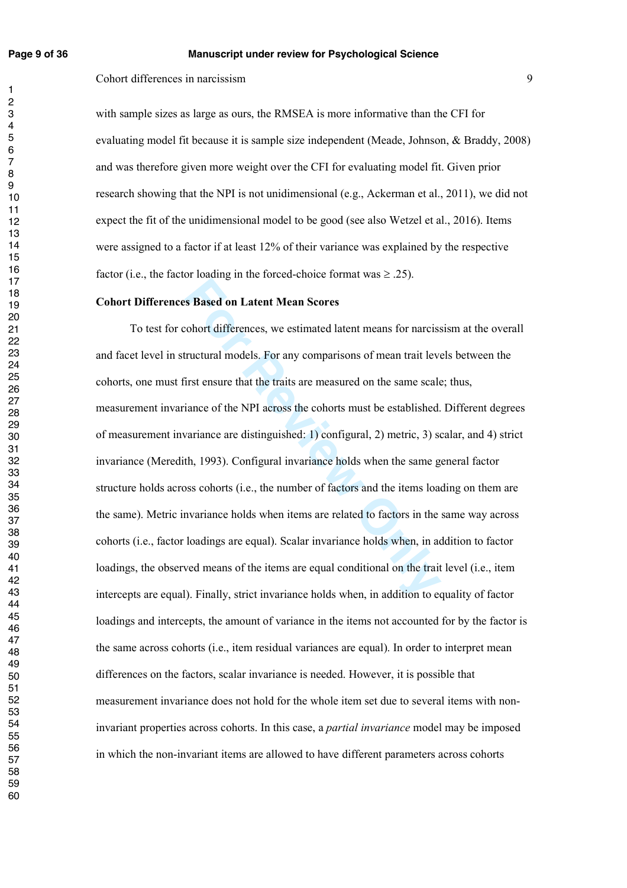with sample sizes as large as ours, the RMSEA is more informative than the CFI for evaluating model fit because it is sample size independent (Meade, Johnson, & Braddy, 2008) and was therefore given more weight over the CFI for evaluating model fit. Given prior research showing that the NPI is not unidimensional (e.g., Ackerman et al., 2011), we did not expect the fit of the unidimensional model to be good (see also Wetzel et al., 2016). Items were assigned to a factor if at least 12% of their variance was explained by the respective factor (i.e., the factor loading in the forced-choice format was  $\geq$  .25).

#### **Cohort Differences Based on Latent Mean Scores**

**For Review Symbol Search Mean Scores**<br>**For All Scores**<br>**For All Scores**<br>**For All Scores**<br>**For All Scores**<br>**For All Scores**<br>**For All Scores**<br>**For All Scores**<br>**For All Scores**<br>**For All Scores**<br>**For All Scores**<br>**For All Scor**  To test for cohort differences, we estimated latent means for narcissism at the overall and facet level in structural models. For any comparisons of mean trait levels between the cohorts, one must first ensure that the traits are measured on the same scale; thus, measurement invariance of the NPI across the cohorts must be established. Different degrees of measurement invariance are distinguished: 1) configural, 2) metric, 3) scalar, and 4) strict invariance (Meredith, 1993). Configural invariance holds when the same general factor structure holds across cohorts (i.e., the number of factors and the items loading on them are the same). Metric invariance holds when items are related to factors in the same way across cohorts (i.e., factor loadings are equal). Scalar invariance holds when, in addition to factor loadings, the observed means of the items are equal conditional on the trait level (i.e., item intercepts are equal). Finally, strict invariance holds when, in addition to equality of factor loadings and intercepts, the amount of variance in the items not accounted for by the factor is the same across cohorts (i.e., item residual variances are equal). In order to interpret mean differences on the factors, scalar invariance is needed. However, it is possible that measurement invariance does not hold for the whole item set due to several items with noninvariant properties across cohorts. In this case, a *partial invariance* model may be imposed in which the non-invariant items are allowed to have different parameters across cohorts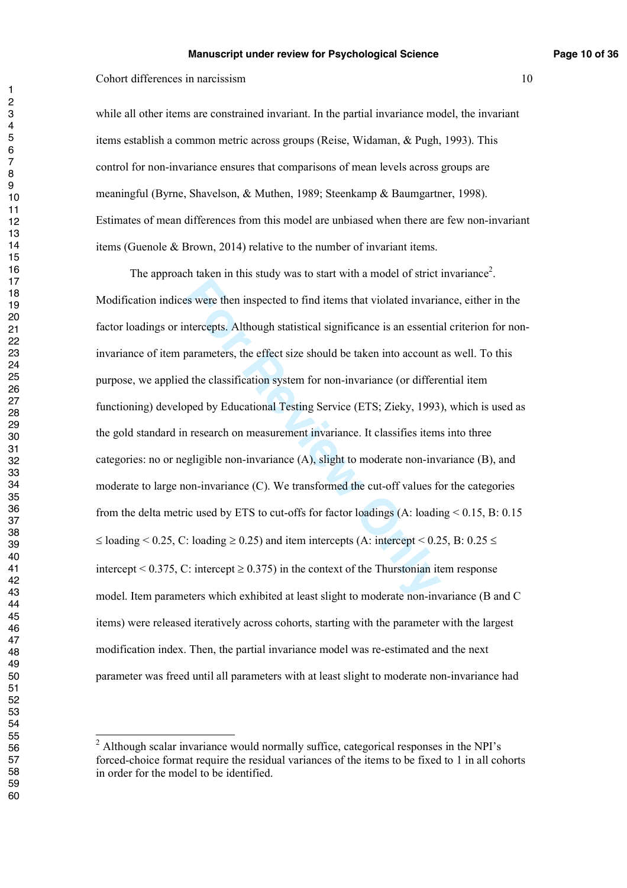while all other items are constrained invariant. In the partial invariance model, the invariant items establish a common metric across groups (Reise, Widaman, & Pugh, 1993). This control for non-invariance ensures that comparisons of mean levels across groups are meaningful (Byrne, Shavelson, & Muthen, 1989; Steenkamp & Baumgartner, 1998). Estimates of mean differences from this model are unbiased when there are few non-invariant items (Guenole & Brown, 2014) relative to the number of invariant items.

Example 1 in improved to find items that violated invariant<br>ercepts. Although statistical significance is an essentia<br>parameters, the effect size should be taken into account at<br>the classification system for non-invarianc The approach taken in this study was to start with a model of strict invariance<sup>2</sup>. Modification indices were then inspected to find items that violated invariance, either in the factor loadings or intercepts. Although statistical significance is an essential criterion for noninvariance of item parameters, the effect size should be taken into account as well. To this purpose, we applied the classification system for non-invariance (or differential item functioning) developed by Educational Testing Service (ETS; Zieky, 1993), which is used as the gold standard in research on measurement invariance. It classifies items into three categories: no or negligible non-invariance (A), slight to moderate non-invariance (B), and moderate to large non-invariance (C). We transformed the cut-off values for the categories from the delta metric used by ETS to cut-offs for factor loadings  $(A:$  loading  $\leq 0.15$ , B: 0.15  $\leq$  loading  $\leq$  0.25, C: loading  $\geq$  0.25) and item intercepts (A: intercept  $\leq$  0.25, B: 0.25  $\leq$ intercept <  $0.375$ , C: intercept  $\geq 0.375$ ) in the context of the Thurstonian item response model. Item parameters which exhibited at least slight to moderate non-invariance (B and C items) were released iteratively across cohorts, starting with the parameter with the largest modification index. Then, the partial invariance model was re-estimated and the next parameter was freed until all parameters with at least slight to moderate non-invariance had

<sup>&</sup>lt;sup>2</sup> Although scalar invariance would normally suffice, categorical responses in the NPI's forced-choice format require the residual variances of the items to be fixed to 1 in all cohorts in order for the model to be identified.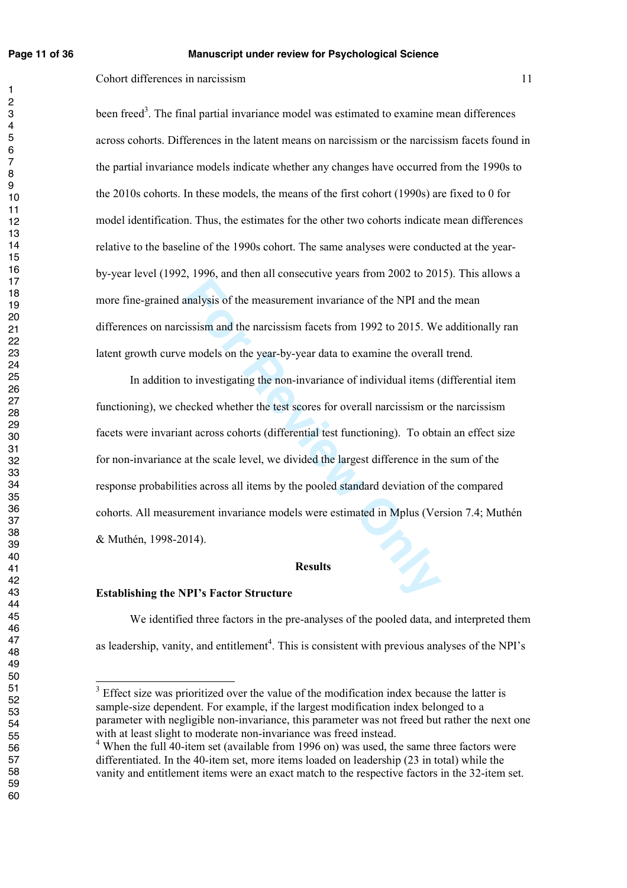$\mathbf{1}$ 

#### **Page 11 of 36 Manuscript under review for Psychological Science**

Cohort differences in narcissism 11

been freed<sup>3</sup>. The final partial invariance model was estimated to examine mean differences across cohorts. Differences in the latent means on narcissism or the narcissism facets found in the partial invariance models indicate whether any changes have occurred from the 1990s to the 2010s cohorts. In these models, the means of the first cohort (1990s) are fixed to 0 for model identification. Thus, the estimates for the other two cohorts indicate mean differences relative to the baseline of the 1990s cohort. The same analyses were conducted at the yearby-year level (1992, 1996, and then all consecutive years from 2002 to 2015). This allows a more fine-grained analysis of the measurement invariance of the NPI and the mean differences on narcissism and the narcissism facets from 1992 to 2015. We additionally ran latent growth curve models on the year-by-year data to examine the overall trend.

**For Formal System Start Start Start Start Start Start Start Start Start Start Start Start Start Start Start Start Start Start Start Start Start Start Start Start Start Start Start Start Start Start Start Start Start Start** In addition to investigating the non-invariance of individual items (differential item functioning), we checked whether the test scores for overall narcissism or the narcissism facets were invariant across cohorts (differential test functioning). To obtain an effect size for non-invariance at the scale level, we divided the largest difference in the sum of the response probabilities across all items by the pooled standard deviation of the compared cohorts. All measurement invariance models were estimated in Mplus (Version 7.4; Muthén & Muthén, 1998-2014).

#### **Results**

#### **Establishing the NPI's Factor Structure**

We identified three factors in the pre-analyses of the pooled data, and interpreted them as leadership, vanity, and entitlement<sup>4</sup>. This is consistent with previous analyses of the NPI's

<sup>&</sup>lt;sup>3</sup> Effect size was prioritized over the value of the modification index because the latter is sample-size dependent. For example, if the largest modification index belonged to a parameter with negligible non-invariance, this parameter was not freed but rather the next one with at least slight to moderate non-invariance was freed instead.

<sup>&</sup>lt;sup>4</sup> When the full 40-item set (available from 1996 on) was used, the same three factors were differentiated. In the 40-item set, more items loaded on leadership (23 in total) while the vanity and entitlement items were an exact match to the respective factors in the 32-item set.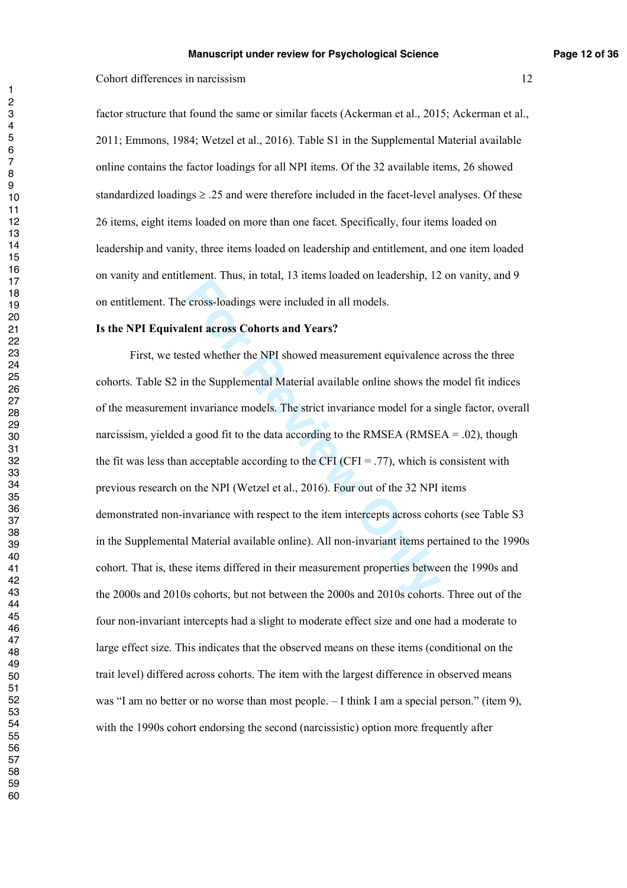factor structure that found the same or similar facets (Ackerman et al., 2015; Ackerman et al., 2011; Emmons, 1984; Wetzel et al., 2016). Table S1 in the Supplemental Material available online contains the factor loadings for all NPI items. Of the 32 available items, 26 showed standardized loadings  $\geq 0.25$  and were therefore included in the facet-level analyses. Of these 26 items, eight items loaded on more than one facet. Specifically, four items loaded on leadership and vanity, three items loaded on leadership and entitlement, and one item loaded on vanity and entitlement. Thus, in total, 13 items loaded on leadership, 12 on vanity, and 9 on entitlement. The cross-loadings were included in all models.

#### **Is the NPI Equivalent across Cohorts and Years?**

For Final, 11 state, 12 Refine States of Reactions, 12<br>
For Ford Alexandry, 12<br>
For Ford Alexandry, 12<br>
For Ford Alexandry, 12<br>
For Alexandry<br>
For Alexandry<br>
For Alexandria and Vears<br>
For Alexandria and Solvetic States and First, we tested whether the NPI showed measurement equivalence across the three cohorts. Table S2 in the Supplemental Material available online shows the model fit indices of the measurement invariance models. The strict invariance model for a single factor, overall narcissism, yielded a good fit to the data according to the RMSEA (RMSEA =  $.02$ ), though the fit was less than acceptable according to the CFI (CFI = .77), which is consistent with previous research on the NPI (Wetzel et al., 2016). Four out of the 32 NPI items demonstrated non-invariance with respect to the item intercepts across cohorts (see Table S3 in the Supplemental Material available online). All non-invariant items pertained to the 1990s cohort. That is, these items differed in their measurement properties between the 1990s and the 2000s and 2010s cohorts, but not between the 2000s and 2010s cohorts. Three out of the four non-invariant intercepts had a slight to moderate effect size and one had a moderate to large effect size. This indicates that the observed means on these items (conditional on the trait level) differed across cohorts. The item with the largest difference in observed means was "I am no better or no worse than most people. – I think I am a special person." (item 9), with the 1990s cohort endorsing the second (narcissistic) option more frequently after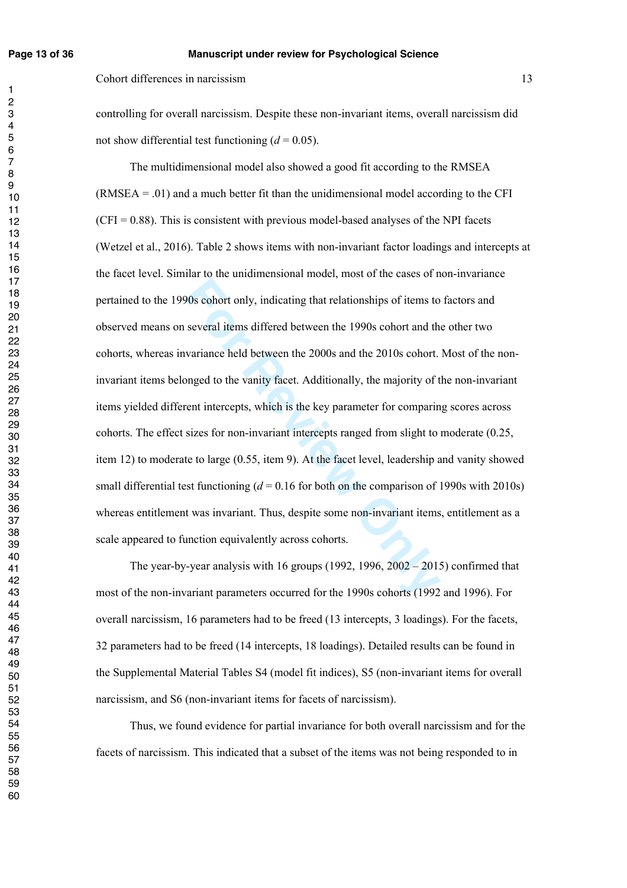#### **Page 13 of 36 Manuscript under review for Psychological Science**

Cohort differences in narcissism 13

controlling for overall narcissism. Despite these non-invariant items, overall narcissism did not show differential test functioning  $(d = 0.05)$ .

90s cohort only, indicating that relationships of items to<br>several items differed between the 1990s cohort and the<br>variance held between the 2000s and the 2010s cohort.<br>longed to the vanity facet. Additionally, the majori The multidimensional model also showed a good fit according to the RMSEA  $(RMSEA = .01)$  and a much better fit than the unidimensional model according to the CFI  $(CFI = 0.88)$ . This is consistent with previous model-based analyses of the NPI facets (Wetzel et al., 2016). Table 2 shows items with non-invariant factor loadings and intercepts at the facet level. Similar to the unidimensional model, most of the cases of non-invariance pertained to the 1990s cohort only, indicating that relationships of items to factors and observed means on several items differed between the 1990s cohort and the other two cohorts, whereas invariance held between the 2000s and the 2010s cohort. Most of the noninvariant items belonged to the vanity facet. Additionally, the majority of the non-invariant items yielded different intercepts, which is the key parameter for comparing scores across cohorts. The effect sizes for non-invariant intercepts ranged from slight to moderate (0.25, item 12) to moderate to large (0.55, item 9). At the facet level, leadership and vanity showed small differential test functioning  $(d = 0.16$  for both on the comparison of 1990s with 2010s) whereas entitlement was invariant. Thus, despite some non-invariant items, entitlement as a scale appeared to function equivalently across cohorts.

The year-by-year analysis with 16 groups  $(1992, 1996, 2002 - 2015)$  confirmed that most of the non-invariant parameters occurred for the 1990s cohorts (1992 and 1996). For overall narcissism, 16 parameters had to be freed (13 intercepts, 3 loadings). For the facets, 32 parameters had to be freed (14 intercepts, 18 loadings). Detailed results can be found in the Supplemental Material Tables S4 (model fit indices), S5 (non-invariant items for overall narcissism, and S6 (non-invariant items for facets of narcissism).

Thus, we found evidence for partial invariance for both overall narcissism and for the facets of narcissism. This indicated that a subset of the items was not being responded to in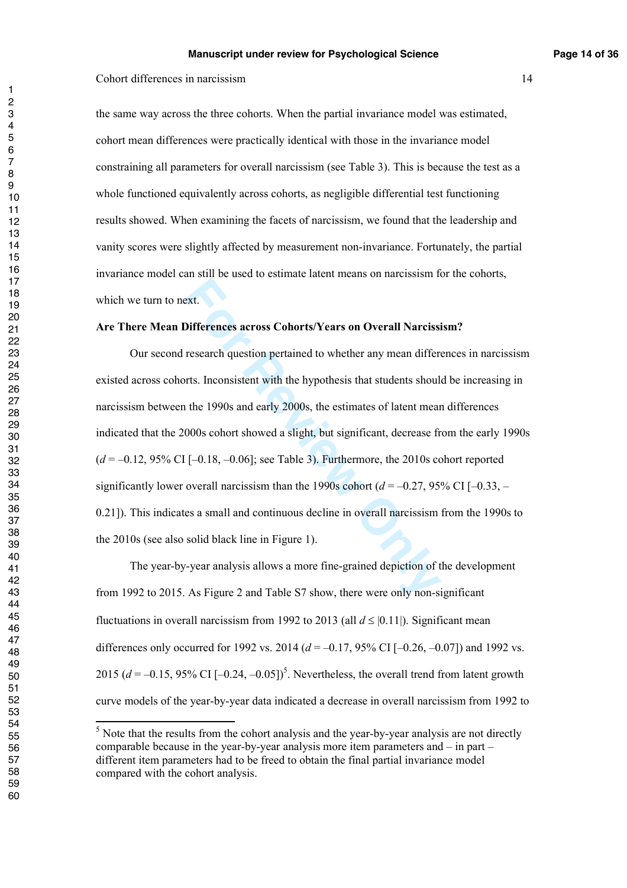the same way across the three cohorts. When the partial invariance model was estimated, cohort mean differences were practically identical with those in the invariance model constraining all parameters for overall narcissism (see Table 3). This is because the test as a whole functioned equivalently across cohorts, as negligible differential test functioning results showed. When examining the facets of narcissism, we found that the leadership and vanity scores were slightly affected by measurement non-invariance. Fortunately, the partial invariance model can still be used to estimate latent means on narcissism for the cohorts, which we turn to next.

#### **Are There Mean Differences across Cohorts/Years on Overall Narcissism?**

ext.<br> **Differences across Cohorts/Years on Overall Narcissi**<br>
research question pertained to whether any mean differents.<br>
Inconsistent with the hypothesis that students should<br>
the 1990s and early 2000s, the estimates of Our second research question pertained to whether any mean differences in narcissism existed across cohorts. Inconsistent with the hypothesis that students should be increasing in narcissism between the 1990s and early 2000s, the estimates of latent mean differences indicated that the 2000s cohort showed a slight, but significant, decrease from the early 1990s  $(d = -0.12, 95\% \text{ CI} [-0.18, -0.06]$ ; see Table 3). Furthermore, the 2010s cohort reported significantly lower overall narcissism than the 1990s cohort  $(d = -0.27, 95\% \text{ CI } [-0.33, -1.00]$ 0.21]). This indicates a small and continuous decline in overall narcissism from the 1990s to the 2010s (see also solid black line in Figure 1).

The year-by-year analysis allows a more fine-grained depiction of the development from 1992 to 2015. As Figure 2 and Table S7 show, there were only non-significant fluctuations in overall narcissism from 1992 to 2013 (all  $d \leq |0.11|$ ). Significant mean differences only occurred for 1992 vs. 2014  $(d = -0.17, 95\% \text{ CI} [-0.26, -0.07])$  and 1992 vs. 2015 ( $d = -0.15$ , 95% CI  $[-0.24, -0.05]$ <sup>5</sup>. Nevertheless, the overall trend from latent growth curve models of the year-by-year data indicated a decrease in overall narcissism from 1992 to

<sup>&</sup>lt;sup>5</sup> Note that the results from the cohort analysis and the year-by-year analysis are not directly comparable because in the year-by-year analysis more item parameters and – in part – different item parameters had to be freed to obtain the final partial invariance model compared with the cohort analysis.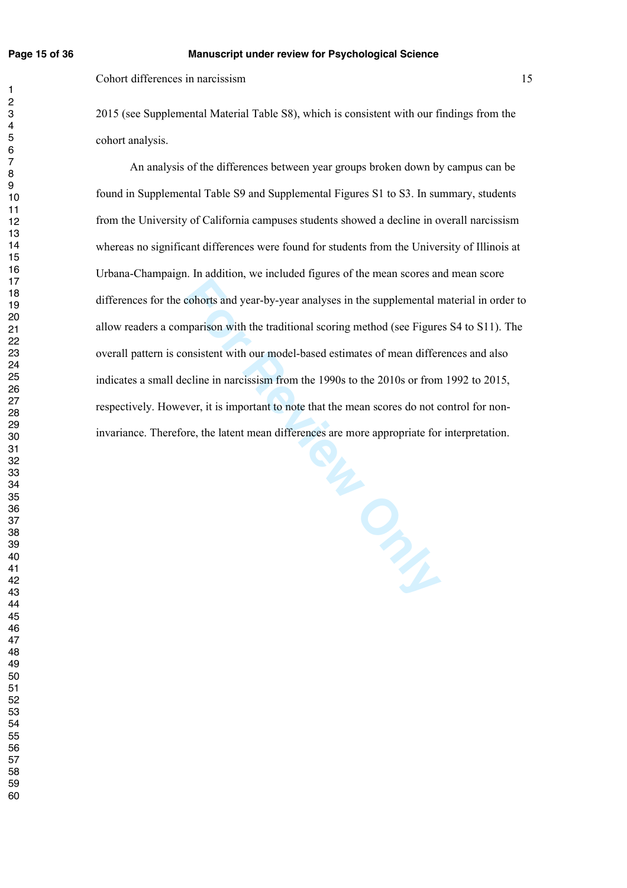$\mathbf{1}$  $\overline{2}$  $\overline{\mathbf{4}}$  $\overline{7}$ 

Cohort differences in narcissism 15

2015 (see Supplemental Material Table S8), which is consistent with our findings from the cohort analysis.

An analysis of the differences between year groups broken down by campus can be found in Supplemental Table S9 and Supplemental Figures S1 to S3. In summary, students from the University of California campuses students showed a decline in overall narcissism whereas no significant differences were found for students from the University of Illinois at Urbana-Champaign. In addition, we included figures of the mean scores and mean score differences for the cohorts and year-by-year analyses in the supplemental material in order to allow readers a comparison with the traditional scoring method (see Figures S4 to S11). The overall pattern is consistent with our model-based estimates of mean differences and also indicates a small decline in narcissism from the 1990s to the 2010s or from 1992 to 2015, respectively. However, it is important to note that the mean scores do not control for noninvariance. Therefore, the latent mean differences are more appropriate for interpretation.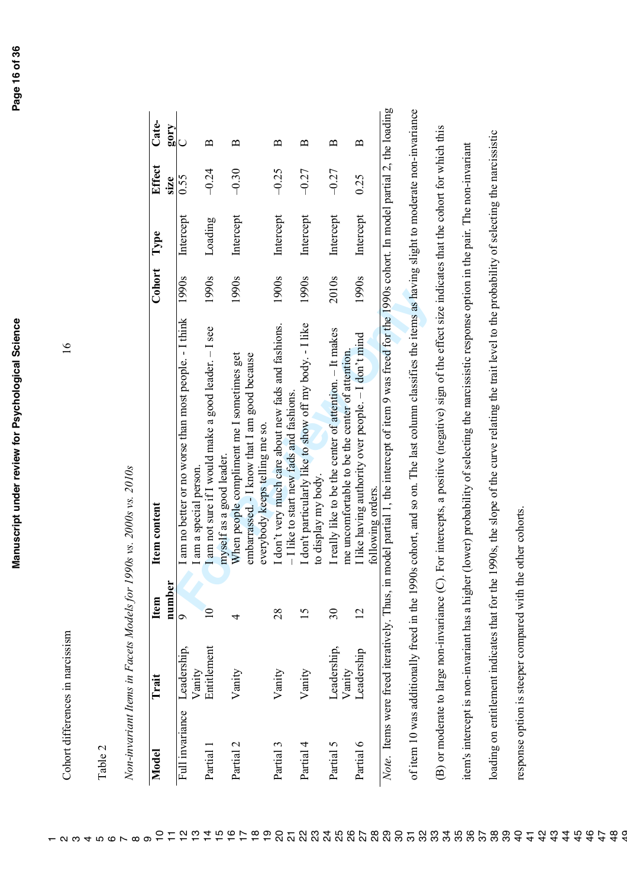Cohort differences in narcissism 16 Cohort differences in narcissism

| ಼ೆ |
|----|

|                 | Trait                                                       | Item        | Item content                                                                                                                                          | Cohort | Type      | Effect  | Cate-             |
|-----------------|-------------------------------------------------------------|-------------|-------------------------------------------------------------------------------------------------------------------------------------------------------|--------|-----------|---------|-------------------|
|                 |                                                             | number      |                                                                                                                                                       |        |           | size    | $\lambda$ 105     |
| Full invariance | Leadership,                                                 | ೦           | am no better or no worse than most people. - I think                                                                                                  | 1990s  | Intercept | 0.55    | $\cup$            |
| Partial         | Entitlement<br>Vanity                                       | $\supseteq$ | I am not sure if I would make a good leader. - I see<br>am a special person                                                                           | 1990s  | Loading   | $-0.24$ | $\mathbf{\Xi}$    |
|                 |                                                             |             | myself as a good leader.                                                                                                                              |        |           |         |                   |
| Partial 2       | Vanity                                                      | 4           | embarrassed. - I know that I am good because<br>When people compliment me I sometimes get                                                             | 1990s  | Intercept | $-0.30$ | മ                 |
|                 |                                                             |             | everybody keeps telling me so.                                                                                                                        |        |           |         |                   |
| Partial 3       | Vanity                                                      | 28          | I don't very much care about new fads and fashions.<br>- I like to start new fads and fashions.                                                       | 1900s  | Intercept | $-0.25$ | $\mathbf{u}$      |
| Partial 4       | Vanity                                                      | 15          | I don't particularly like to show off my body. - I like<br>to display my body.                                                                        | 1990s  | Intercept | $-0.27$ | $\mathbf{\Omega}$ |
| Partial 5       | Leadership,<br>Vanity                                       | $30\,$      | I really like to be the center of attention. - It makes<br>me uncomfortable to be the center of attention                                             | 2010s  | Intercept | $-0.27$ | $\mathbf{u}$      |
| Partial 6       | Leadership                                                  | 12          | I like having authority over people. - I don't mind<br>following orders.                                                                              | 1990s  | Intercept | 0.25    | $\mathbf{\Omega}$ |
|                 |                                                             |             | Note. Items were freed iteratively. Thus, in model partial 1, the intercept of item 9 was freed for the 1990s cohort. In model partial 2, the loading |        |           |         |                   |
|                 |                                                             |             | of item 10 was additionally freed in the 1990s cohort, and so on. The last column classifies the items as having slight to moderate non-invariance    |        |           |         |                   |
|                 |                                                             |             | (B) or moderate to large non-invariance (C). For intercepts, a positive (negative) sign of the effect size indicates that the cohort for which this   |        |           |         |                   |
|                 |                                                             |             | item's intercept is non-invariant has a higher (lower) probability of selecting the narcissistic response option in the pair. The non-invariant       |        |           |         |                   |
|                 | loading on entitlement indicates that for the               |             | 1990s, the slope of the curve relating the trait level to the probability of selecting the narcissistic                                               |        |           |         |                   |
|                 | response option is steeper compared with the other cohorts. |             |                                                                                                                                                       |        |           |         |                   |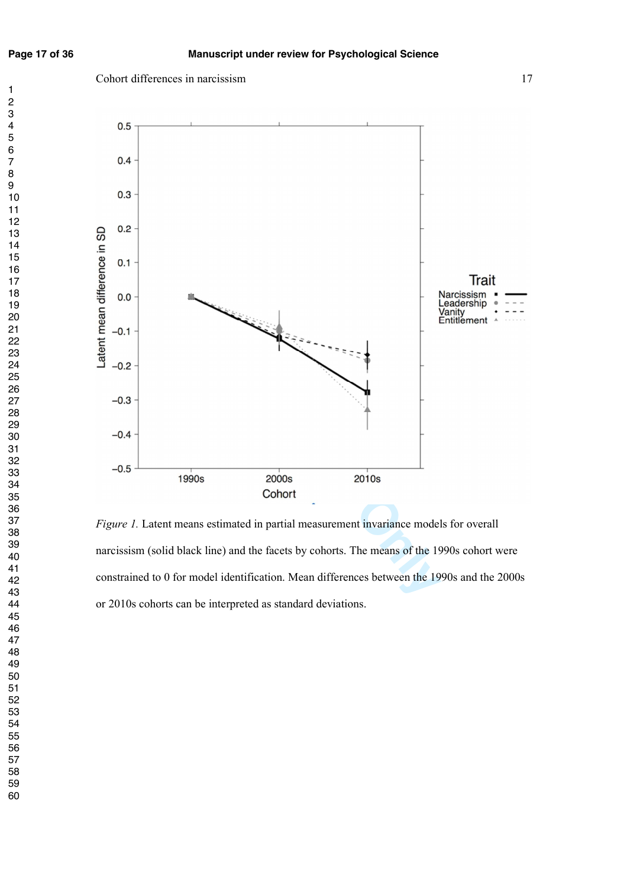$\mathbf{1}$ 





*Figure 1.* Latent means estimated in partial measurement invariance models for overall narcissism (solid black line) and the facets by cohorts. The means of the 1990s cohort were constrained to 0 for model identification. Mean differences between the 1990s and the 2000s or 2010s cohorts can be interpreted as standard deviations.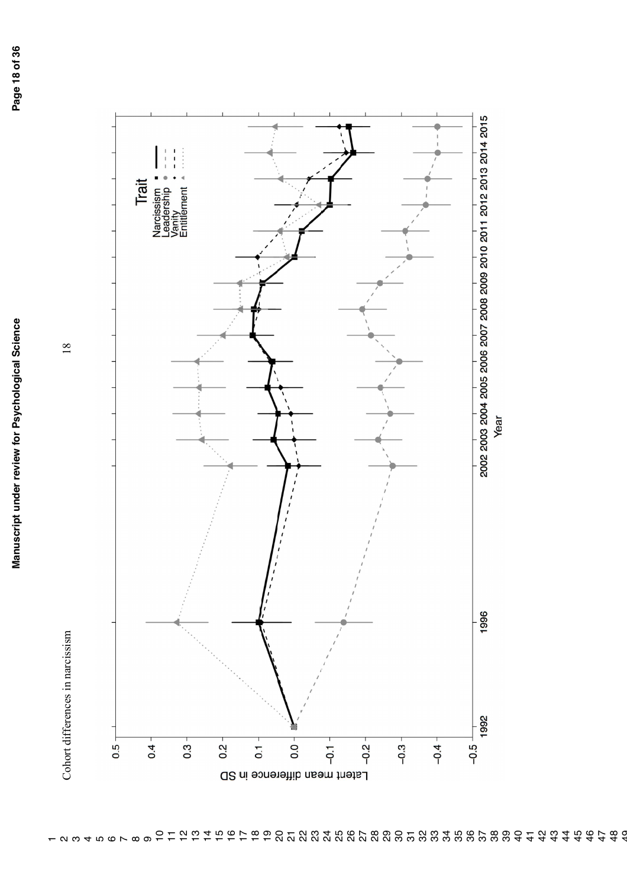

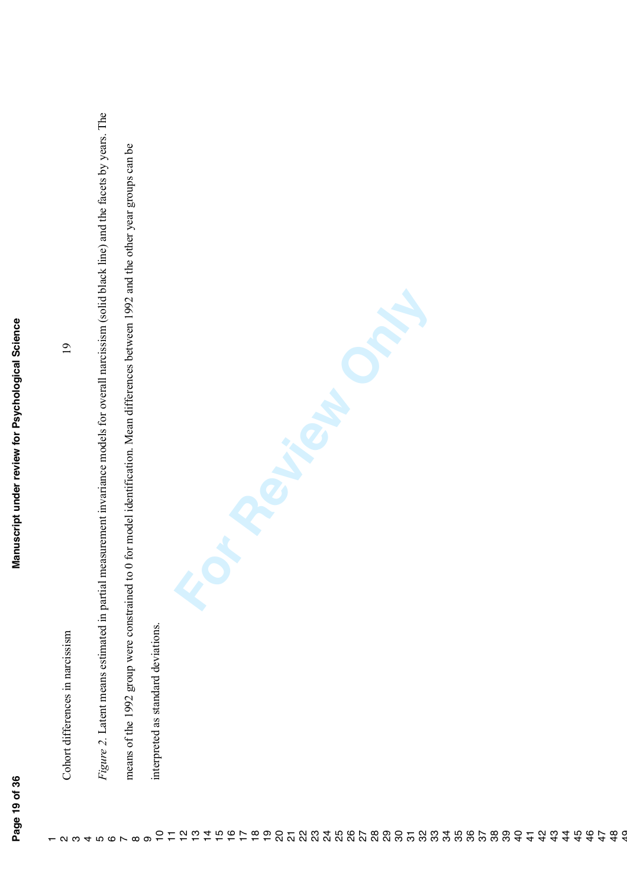$\alpha$   $\omega$   $+$   $\alpha$   $\alpha$   $\alpha$   $\alpha$ 

*Figure 2.* Latent means estimated in partial measurement invariance models for overall narcissism (solid black line) and the facets by years. The Figure 2. Latent means estimated in partial measurement invariance models for overall narcissism (solid black line) and the facets by years. The means of the 1992 group were constrained to 0 for model identification. Mean differences between 1992 and the other year groups can be means of the 1992 group were constrained to 0 for model identification. Mean differences between 1992 and the other year groups can be **For Review Only** Manuscript under review for Psychological Science **Page 19 of 36 Manuscript under review for Psychological Science**  $\overline{19}$ Cohort differences in narcissism 19 interpreted as standard deviations. interpreted as standard deviations. Cohort differences in narcissism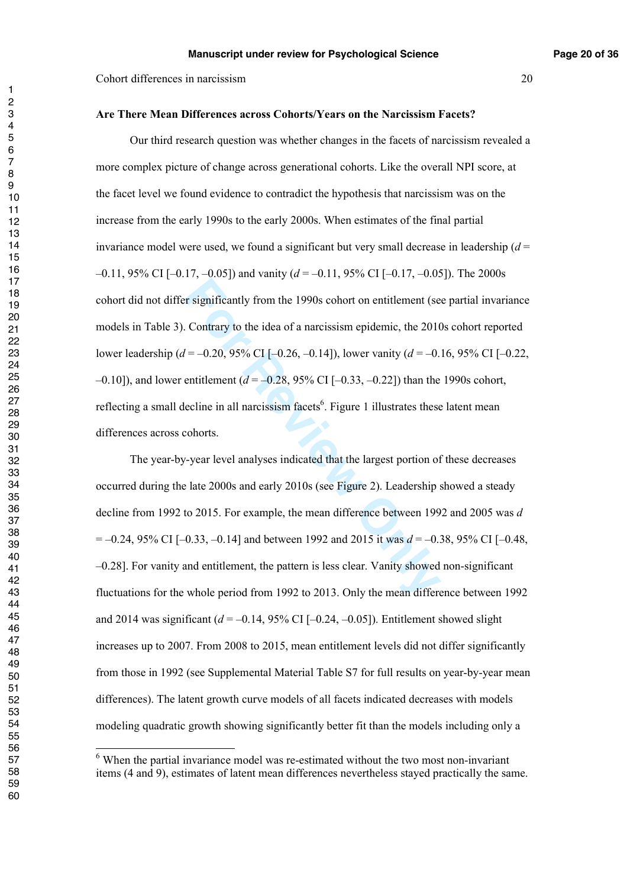#### **Are There Mean Differences across Cohorts/Years on the Narcissism Facets?**

**Follow 1990s** cohort on entitlement (see Contrary to the idea of a narcissism epidemic, the 2010<br>  $I = -0.20, 95\%$  CI [-0.26, -0.14]), lower vanity ( $d = -0.1$ <br>
entitlement ( $d = -0.28, 95\%$  CI [-0.33, -0.22]) than the<br>
ecli Our third research question was whether changes in the facets of narcissism revealed a more complex picture of change across generational cohorts. Like the overall NPI score, at the facet level we found evidence to contradict the hypothesis that narcissism was on the increase from the early 1990s to the early 2000s. When estimates of the final partial invariance model were used, we found a significant but very small decrease in leadership  $(d =$ –0.11, 95% CI [–0.17, –0.05]) and vanity ( *d* = –0.11, 95% CI [–0.17, –0.05]). The 2000s cohort did not differ significantly from the 1990s cohort on entitlement (see partial invariance models in Table 3). Contrary to the idea of a narcissism epidemic, the 2010s cohort reported lower leadership ( *d* = –0.20, 95% CI [–0.26, –0.14]), lower vanity ( *d* = –0.16, 95% CI [–0.22, –0.10]), and lower entitlement ( *d* = –0.28, 95% CI [–0.33, –0.22]) than the 1990s cohort, reflecting a small decline in all narcissism facets<sup>6</sup>. Figure 1 illustrates these latent mean differences across cohorts.

The year-by-year level analyses indicated that the largest portion of these decreases occurred during the late 2000s and early 2010s (see Figure 2). Leadership showed a steady decline from 1992 to 2015. For example, the mean difference between 1992 and 2005 was *d* = –0.24, 95% CI [–0.33, –0.14] and between 1992 and 2015 it was *d* = –0.38, 95% CI [–0.48, –0.28]. For vanity and entitlement, the pattern is less clear. Vanity showed non-significant fluctuations for the whole period from 1992 to 2013. Only the mean difference between 1992 and 2014 was significant  $(d = -0.14, 95\% \text{ CI} [-0.24, -0.05])$ . Entitlement showed slight increases up to 2007. From 2008 to 2015, mean entitlement levels did not differ significantly from those in 1992 (see Supplemental Material Table S7 for full results on year-by-year mean differences). The latent growth curve models of all facets indicated decreases with models modeling quadratic growth showing significantly better fit than the models including only a

<sup>&</sup>lt;sup>6</sup> When the partial invariance model was re-estimated without the two most non-invariant items (4 and 9), estimates of latent mean differences nevertheless stayed practically the same.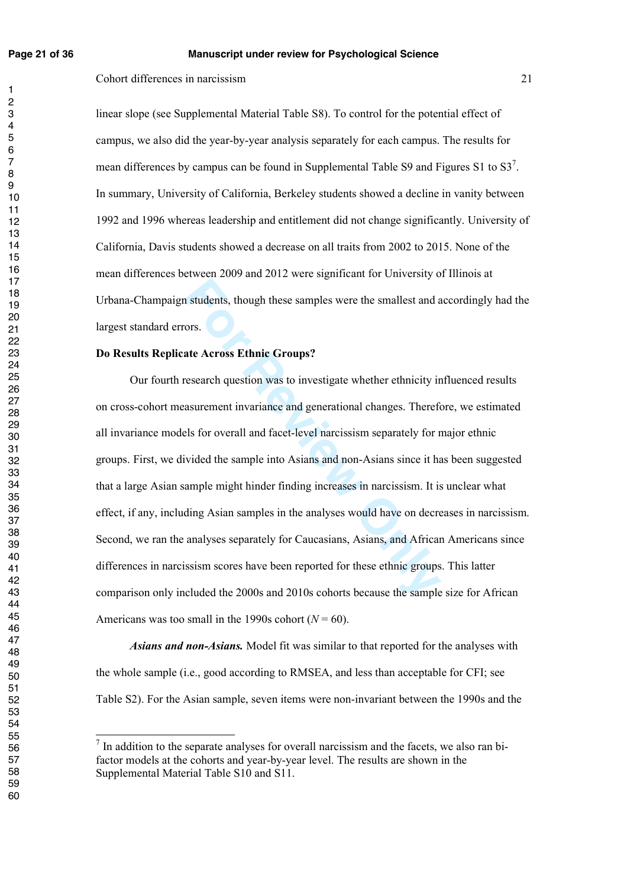$\mathbf{1}$ 

#### **Page 21 of 36 Manuscript under review for Psychological Science**

Cohort differences in narcissism 21

linear slope (see Supplemental Material Table S8). To control for the potential effect of campus, we also did the year-by-year analysis separately for each campus. The results for mean differences by campus can be found in Supplemental Table S9 and Figures S1 to  $S3^7$ . In summary, University of California, Berkeley students showed a decline in vanity between 1992 and 1996 whereas leadership and entitlement did not change significantly. University of California, Davis students showed a decrease on all traits from 2002 to 2015. None of the mean differences between 2009 and 2012 were significant for University of Illinois at Urbana-Champaign students, though these samples were the smallest and accordingly had the largest standard errors.

#### **Do Results Replicate Across Ethnic Groups?**

**Example 5** students, though these samples were the smallest and a<br>ors.<br>**ARE ACTOSS Ethnic Groups?**<br>**For Review ONLY SET ASSEM SET ASSEM SET ASSEM SET ASSEM SAMPLE 15 for overall and facet-level narcissism separately for n** Our fourth research question was to investigate whether ethnicity influenced results on cross-cohort measurement invariance and generational changes. Therefore, we estimated all invariance models for overall and facet-level narcissism separately for major ethnic groups. First, we divided the sample into Asians and non-Asians since it has been suggested that a large Asian sample might hinder finding increases in narcissism. It is unclear what effect, if any, including Asian samples in the analyses would have on decreases in narcissism. Second, we ran the analyses separately for Caucasians, Asians, and African Americans since differences in narcissism scores have been reported for these ethnic groups. This latter comparison only included the 2000s and 2010s cohorts because the sample size for African Americans was too small in the 1990s cohort  $(N = 60)$ .

*Asians and non-Asians.* Model fit was similar to that reported for the analyses with the whole sample (i.e., good according to RMSEA, and less than acceptable for CFI; see Table S2). For the Asian sample, seven items were non-invariant between the 1990s and the

7 In addition to the separate analyses for overall narcissism and the facets, we also ran bifactor models at the cohorts and year-by-year level. The results are shown in the Supplemental Material Table S10 and S11.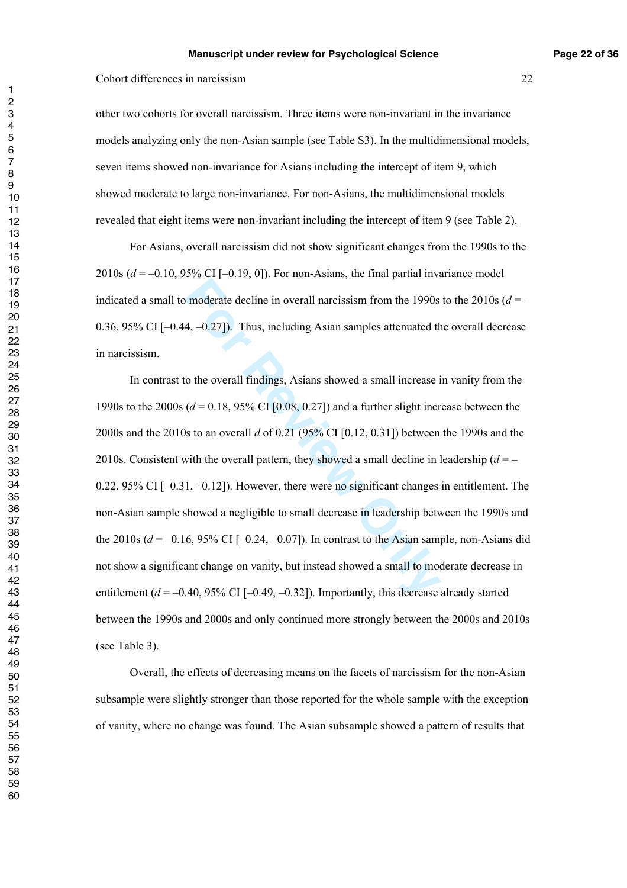other two cohorts for overall narcissism. Three items were non-invariant in the invariance models analyzing only the non-Asian sample (see Table S3). In the multidimensional models, seven items showed non-invariance for Asians including the intercept of item 9, which showed moderate to large non-invariance. For non-Asians, the multidimensional models revealed that eight items were non-invariant including the intercept of item 9 (see Table 2).

For Asians, overall narcissism did not show significant changes from the 1990s to the 2010s  $(d = -0.10, 95\% \text{ CI} [-0.19, 0])$ . For non-Asians, the final partial invariance model indicated a small to moderate decline in overall narcissism from the 1990s to the  $2010s(d = -$ 0.36, 95% CI [–0.44, –0.27]). Thus, including Asian samples attenuated the overall decrease in narcissism.

moderate decline in overall narcissism from the 1990s<br>4, -0.27]). Thus, including Asian samples attenuated th<br>to the overall findings, Asians showed a small increase i<br> $(d = 0.18, 95\% \text{ CI } [0.08, 0.27])$  and a further slight In contrast to the overall findings, Asians showed a small increase in vanity from the 1990s to the 2000s ( $d = 0.18$ , 95% CI [0.08, 0.27]) and a further slight increase between the 2000s and the 2010s to an overall *d* of 0.21 (95% CI [0.12, 0.31]) between the 1990s and the 2010s. Consistent with the overall pattern, they showed a small decline in leadership  $(d = -1)$ 0.22,  $95\%$  CI [-0.31, -0.12]). However, there were no significant changes in entitlement. The non-Asian sample showed a negligible to small decrease in leadership between the 1990s and the 2010s  $(d = -0.16, 95\% \text{ CI} [-0.24, -0.07])$ . In contrast to the Asian sample, non-Asians did not show a significant change on vanity, but instead showed a small to moderate decrease in entitlement  $(d = -0.40, 95\% \text{ CI} [-0.49, -0.32])$ . Importantly, this decrease already started between the 1990s and 2000s and only continued more strongly between the 2000s and 2010s (see Table 3).

Overall, the effects of decreasing means on the facets of narcissism for the non-Asian subsample were slightly stronger than those reported for the whole sample with the exception of vanity, where no change was found. The Asian subsample showed a pattern of results that

 $\overline{1}$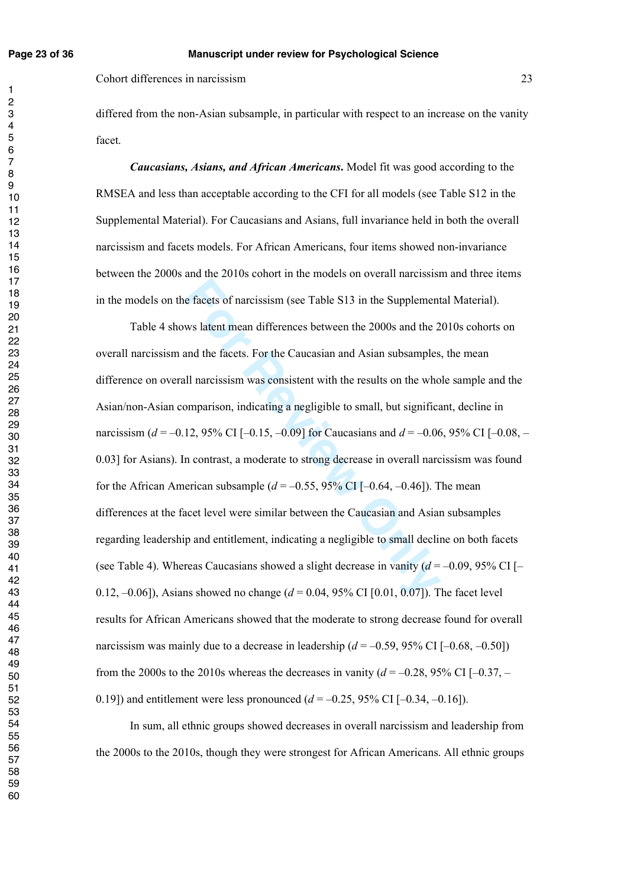differed from the non-Asian subsample, in particular with respect to an increase on the vanity facet.

*Caucasians, Asians, and African Americans***.** Model fit was good according to the RMSEA and less than acceptable according to the CFI for all models (see Table S12 in the Supplemental Material). For Caucasians and Asians, full invariance held in both the overall narcissism and facets models. For African Americans, four items showed non-invariance between the 2000s and the 2010s cohort in the models on overall narcissism and three items in the models on the facets of narcissism (see Table S13 in the Supplemental Material).

e facets of narcissism (see Table S13 in the Supplement<br>ws latent mean differences between the 2000s and the 2<br>and the facets. For the Caucasian and Asian subsamples,<br>all narcissism was consistent with the results on the Table 4 shows latent mean differences between the 2000s and the 2010s cohorts on overall narcissism and the facets. For the Caucasian and Asian subsamples, the mean difference on overall narcissism was consistent with the results on the whole sample and the Asian/non-Asian comparison, indicating a negligible to small, but significant, decline in narcissism (*d* = -0.12, 95% CI [-0.15, -0.09] for Caucasians and *d* = -0.06, 95% CI [-0.08, -0.03] for Asians). In contrast, a moderate to strong decrease in overall narcissism was found for the African American subsample  $(d = -0.55, 95\% \text{ CI} [-0.64, -0.46])$ . The mean differences at the facet level were similar between the Caucasian and Asian subsamples regarding leadership and entitlement, indicating a negligible to small decline on both facets (see Table 4). Whereas Caucasians showed a slight decrease in vanity  $(d = -0.09, 95\% \text{ CI}$  [-0.12, –0.06]), Asians showed no change ( *d* = 0.04, 95% CI [0.01, 0.07]). The facet level results for African Americans showed that the moderate to strong decrease found for overall narcissism was mainly due to a decrease in leadership  $(d = -0.59, 95\% \text{ CI} [-0.68, -0.50])$ from the 2000s to the 2010s whereas the decreases in vanity  $(d = -0.28, 95\% \text{ CI } [-0.37, -0.37]$ 0.19]) and entitlement were less pronounced  $(d = -0.25, 95\% \text{ CI} [-0.34, -0.16])$ .

 In sum, all ethnic groups showed decreases in overall narcissism and leadership from the 2000s to the 2010s, though they were strongest for African Americans. All ethnic groups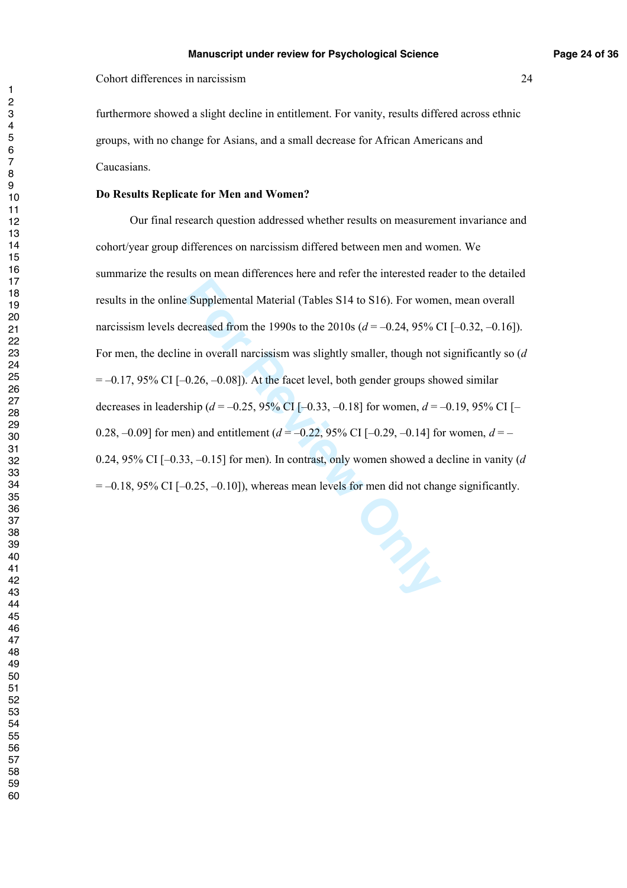furthermore showed a slight decline in entitlement. For vanity, results differed across ethnic groups, with no change for Asians, and a small decrease for African Americans and Caucasians.

#### **Do Results Replicate for Men and Women?**

 Our final research question addressed whether results on measurement invariance and cohort/year group differences on narcissism differed between men and women. We summarize the results on mean differences here and refer the interested reader to the detailed results in the online Supplemental Material (Tables S14 to S16). For women, mean overall narcissism levels decreased from the 1990s to the 2010s (*d* = –0.24, 95% CI [–0.32, –0.16]). For men, the decline in overall narcissism was slightly smaller, though not significantly so ( *d*  $= -0.17$ , 95% CI [ $-0.26$ ,  $-0.08$ ]). At the facet level, both gender groups showed similar decreases in leadership (*d* = –0.25, 95% CI [–0.33, –0.18] for women, *d* = –0.19, 95% CI [– 0.28,  $-0.09$  for men) and entitlement ( $d = -0.22$ , 95% CI [ $-0.29$ ,  $-0.14$ ] for women,  $d = -$ 0.24, 95% CI [–0.33, –0.15] for men). In contrast, only women showed a decline in vanity ( *d*  $= -0.18$ , 95% CI  $[-0.25, -0.10]$ ), whereas mean levels for men did not change significantly.

 $\overline{1}$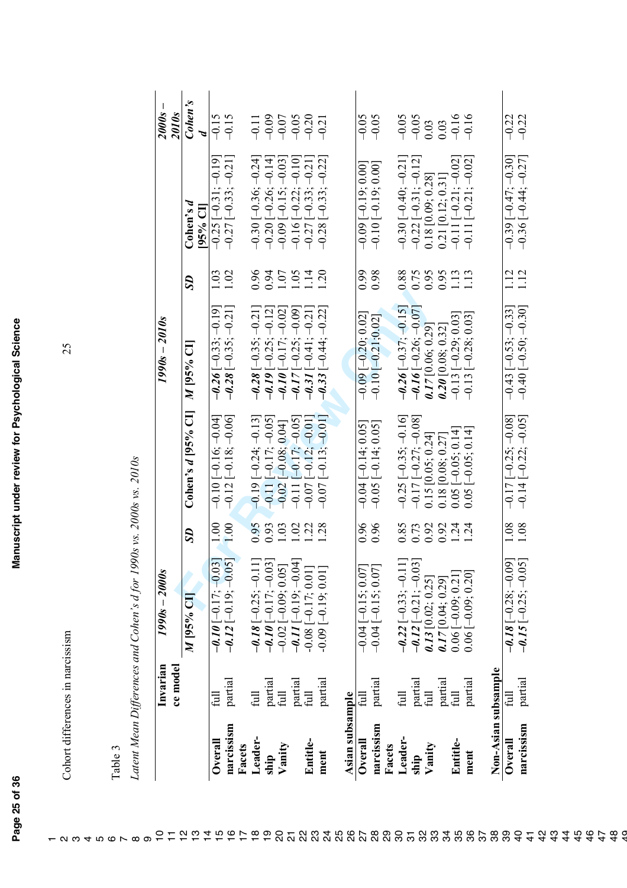Cohort differences in narcissism 25 Cohort differences in narcissism

25

| ۴ | r  |
|---|----|
| ω | 冖  |
| ┙ | ದ  |
| F | J. |

 $\alpha$   $\omega$   $+$   $\alpha$   $\alpha$   $\alpha$   $\alpha$ 

Latent Mean Differences and Cohen's d for 1990s vs. 2000s vs. 2010s *Latent Mean Differences and Cohen's d for 1990s vs. 2000s vs. 2010s* 

|                      | ce mode   | $1990s - 2000s$                                                           |                  |                               | $1990s - 2010s$                 |      |                                                                       | I.<br><b>2000s</b><br>2010s                 |
|----------------------|-----------|---------------------------------------------------------------------------|------------------|-------------------------------|---------------------------------|------|-----------------------------------------------------------------------|---------------------------------------------|
|                      |           | M 95% CI                                                                  | SD               | Cohen's $d$ [95% CI]          | M 95% CI                        | SD   | $\mathop{\rm Cohen}\nolimits 3$ d<br>[95% CI]                         | Cohen's<br>Þ                                |
| Overall              |           |                                                                           | 1.00             | $-0.10$ [ $-0.16$ ; $-0.04$ ] | $-0.26[-0.33; -0.19]$           | 1.03 | $-0.19$<br>$-0.25$ $[-0.31]$ ;                                        | $-0.15$                                     |
| narcissism<br>Facets | partial   | $-0.10[-0.17; -0.05]$<br>-0.12 [-0.19; -0.05]                             | 1.00             | $-0.12[-0.18,-0.06]$          | $-0.28[-0.35, -0.21]$           | 1.02 | $-0.27[-0.33; -0.21]$                                                 | $-0.15$                                     |
| Leader-              | full      |                                                                           | 0.95             | $[-0.24, -0.13]$<br>$-0.19$   | $-0.28[-0.35, -0.21]$           | 0.96 | $-0.30[-0.36; -0.24]$                                                 | $\frac{11}{7}$                              |
| ship                 | partial   | $-0.18[-0.25; -0.11]$<br>-0.10 $[-0.17; -0.03]$                           | 0.93             | $-0.11[-0.17; -0.05]$         | $-0.19$ [ $-0.25$ ; $-0.12$ ]   | 0.94 | $-0.20[-0.26; -0.14]$                                                 | $-0.09$                                     |
| Vanity               | full      |                                                                           | 1.03             | $[-0.08, 0.04]$<br>$-0.02$    | $-0.10[-0.17; -0.02]$           | 1.07 | $-0.09$ $[-0.15; -0.03]$                                              | $-0.07$                                     |
|                      | partial   | $-0.02[-0.09; 0.05]$<br>$-0.11[-0.19; -0.04]$<br>$-0.08[-0.17; 0.01]$     | 1.02             | $[-0.17,-0.05]$<br>$-0.111$   | $-0.09$<br>$[-0.25]$<br>$-0.17$ | 1.05 | $-0.10$ ]<br>$\left[-0.22\right]$<br>$-0.16$ $[-$                     | $-0.05$                                     |
| Entitle-             | full      |                                                                           | $\ddot{c}$       | $[-0.12,-0.01]$<br>$-0.07$    | $-0.3I[-0.41; -0.21]$           | 1.14 | $-0.27$ [ $-0.33$ ; $-0.21$ ]                                         | $-0.20$                                     |
| ment                 | partial   | $0.09[-0.19; 0.01]$                                                       | 28               | $[-0.13; -0.01]$<br>$-0.07$   | $[-0.44; -0.22]$<br>$-0.33$     | 1.20 | $[-0.33; -0.22]$<br>$-0.28$                                           | $-9.21$                                     |
| Asian subsample      |           |                                                                           |                  |                               |                                 |      |                                                                       |                                             |
| Overall              | $\exists$ | $-0.04$ $[-0.15, 0.07]$                                                   | 0.96             | $-0.04$ [ $-0.14$ ; 0.05]     | $-0.09$ $[-0.20, 0.02]$         | 6.99 | $-0.09$ $[-0.19, 0.00]$                                               | $-0.05$                                     |
| narcissism<br>Facets | partial   | $-0.04$ $[-0.15, 0.07]$                                                   | 0.96             | $-0.05$ $[-0.14; 0.05]$       | $-0.10[-0.21, 0.02]$            | 0.98 | $-0.10[-0.19; 0.00]$                                                  | $-0.05$                                     |
| Leader-              | full      | $-0.22$ [ $-0.33$ ; $-0.11$ ]                                             | 0.85             | $-0.25[-0.35; -0.16]$         | $-0.26[-0.37; -0.15]$           | 0.88 | $-0.30[-0.40; -0.21]$                                                 | $-0.05$                                     |
| ship                 | partial   | -0.12 [-0.21; -0.03]<br>0.13 [0.21; -0.03]                                | 0.73             | $-0.17[-0.27; -0.08]$         | $-0.16[-0.26; -0.07]$           | 0.75 | $-0.22$ [ $-0.31$ ; $-0.12$ ]                                         | $-0.05$                                     |
| Vanity               | full      | $\begin{array}{c} 0.13\;[0.02;\,0.25] \\ 0.17\;[0.04;\,0.29] \end{array}$ | 0.92             | 0.15 [0.05; 0.24]             | $0.17$ [0.06; 0.29]             | 0.95 | $\begin{array}{c} 0.18\;[0.09;0.28] \\ 0.21\;[0.12;0.31] \end{array}$ | $\begin{array}{c} 0.03 \\ 0.03 \end{array}$ |
|                      | partial   |                                                                           | 0.92             | 0.18 [0.08; 0.27]             | $0.20\ [0.08; 0.32]$            | 0.95 |                                                                       |                                             |
| Entitle-             | full      | $0.06[-0.09; 0.21]$                                                       | $1.24$<br>$1.24$ | $0.05$ [-0.05; 0.14]          | $-0.13[-0.29; 0.03]$            | 1.13 | $-0.11[-0.21; -0.02]$                                                 | $-0.16$                                     |
| ment                 | partial   | $0.06[-0.09; 0.20]$                                                       |                  | $[-0.05, 0.14]$<br>0.05       | $-0.13[-0.28; 0.03]$            | 1.13 | $-0.11[-0.21; -0.02]$                                                 | $-0.16$                                     |
| Non-Asian subsample  |           |                                                                           |                  |                               |                                 |      |                                                                       |                                             |
| Overall              | 目         | $-0.18[-0.28; -0.09]$<br>-0.15 $[-0.25; -0.05]$                           | 1.08             | $-0.17[-0.25; -0.08]$         | $-0.43$ [ $-0.53$ ; $-0.33$ ]   | 1.12 | $-0.39[-0.47; -0.30]$                                                 | $-0.22$                                     |
| narcissism           | partial   |                                                                           | 1.08             | $-0.14[-0.22; -0.05]$         | $-0.40$ [ $-0.50$ ; $-0.30$ ]   | 1.12 | $-0.36[-0.44; -0.27]$                                                 | $-0.22$                                     |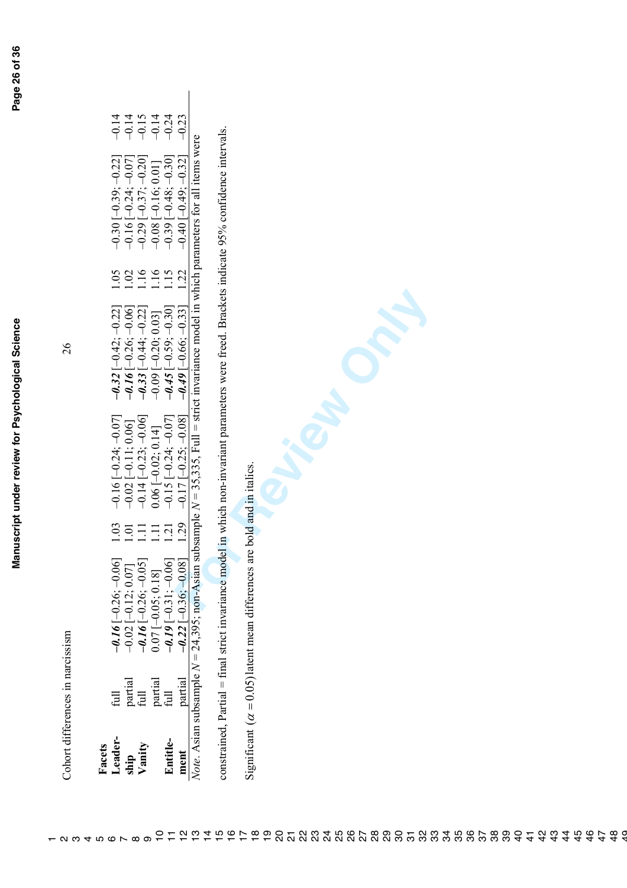|   | ٢                        |   |
|---|--------------------------|---|
|   |                          | š |
|   |                          |   |
|   |                          |   |
|   |                          |   |
|   |                          |   |
|   |                          |   |
|   |                          |   |
|   |                          |   |
|   |                          |   |
|   |                          |   |
|   |                          |   |
|   |                          |   |
|   |                          |   |
|   |                          |   |
|   |                          |   |
|   |                          |   |
|   |                          |   |
|   |                          |   |
|   |                          |   |
|   |                          |   |
|   |                          |   |
|   |                          |   |
|   |                          |   |
|   |                          |   |
|   |                          |   |
|   |                          |   |
|   |                          |   |
|   |                          |   |
|   |                          |   |
|   |                          |   |
|   |                          |   |
|   |                          |   |
|   |                          |   |
|   |                          |   |
|   |                          |   |
|   |                          |   |
|   |                          |   |
|   |                          |   |
|   |                          |   |
|   |                          |   |
|   |                          |   |
|   |                          |   |
|   |                          |   |
|   |                          |   |
|   |                          |   |
|   |                          |   |
|   |                          |   |
|   |                          |   |
|   |                          | i |
|   |                          |   |
|   |                          |   |
|   |                          |   |
|   |                          |   |
|   |                          |   |
|   |                          |   |
|   |                          |   |
|   |                          |   |
|   |                          |   |
|   | l                        | l |
|   |                          |   |
|   | $\overline{\phantom{a}}$ |   |
| ζ |                          |   |

26

| acets    |                 |                                                                                                                                                     |                  |                                               |                                                                                                                              |                     |                                                                                                 |                                           |
|----------|-----------------|-----------------------------------------------------------------------------------------------------------------------------------------------------|------------------|-----------------------------------------------|------------------------------------------------------------------------------------------------------------------------------|---------------------|-------------------------------------------------------------------------------------------------|-------------------------------------------|
| eader    | 戸               | $0.16[-0.26; -0.06]$                                                                                                                                | $\frac{03}{2}$   | $-0.16$ [ $-0.24$ ; $-0.07$ ]                 |                                                                                                                              |                     | $-0.30[-0.39; -0.22]$                                                                           |                                           |
| ig       | partial<br>full |                                                                                                                                                     | $\overline{0}$ . | $-0.02$ [ $-0.11$ ; 0.06]                     |                                                                                                                              |                     |                                                                                                 |                                           |
| Vanity   |                 |                                                                                                                                                     | <b>HH</b>        | $-0.14[-0.23; -0.06]$<br>0.06 $[-0.02; 0.14]$ | $-0.32$ [ $-0.42$ ; $-0.22$ ]<br>$-0.16$ [ $-0.26$ ; $-0.06$ ]<br>$-0.33$ [ $-0.44$ ; $-0.22$ ]<br>$-0.09$ [ $-0.20$ ; 0.03] |                     |                                                                                                 |                                           |
|          | partial<br>full | $-0.02 [-0.12; 0.07]$<br>$-0.16 [-0.26; -0.05]$<br>$0.07 [-0.05; 0.18]$<br>$-0.19 [-0.31; -0.06]$                                                   |                  |                                               |                                                                                                                              | 102<br>1116<br>1111 | $-0.16[-0.24; -0.07]$<br>$-0.29[-0.37; -0.20]$<br>$-0.08[-0.16; 0.01]$<br>$-0.39[-0.48; -0.30]$ | = = = = = =<br>= = = = = =<br>= = = = = = |
| Tntitle- |                 |                                                                                                                                                     | $\overline{21}$  | $-0.15[-0.24; -0.07]$                         | $-0.45$ [ $-0.59$ ; $-0.30$ ]                                                                                                |                     |                                                                                                 |                                           |
|          |                 | ment<br>ment<br>partial $-0.22[-0.36; -0.08]$ 1.29 $-0.17[-0.25; -0.08]$<br>$-0.17[-0.25; -0.08]$<br>$-0.17[-0.25; -0.08]$<br>$-0.17[-0.25; -0.08]$ |                  |                                               | $0.49[-0.66; -0.33]$                                                                                                         | $\overline{22}$     | $-0.40$ $[-0.49; -0.32]$                                                                        |                                           |
|          |                 |                                                                                                                                                     |                  |                                               |                                                                                                                              |                     | nvariance model in which parameters for all items were                                          |                                           |

constrained, Partial – final strict invariance model in which non-invariant parameters were freed. Brackets indicate 95% confidence intervals.<br>Significant (*a* = 0.05) latent mean differences are bold and in italiss.<br>**For** constrained, Partial = final strict invariance model in which non-invariant parameters were freed. Brackets indicate 95% confidence intervals.

 $\overline{\phantom{a}}$ 

Significant  $(\alpha = 0.05)$  latent mean differences are bold and in italics.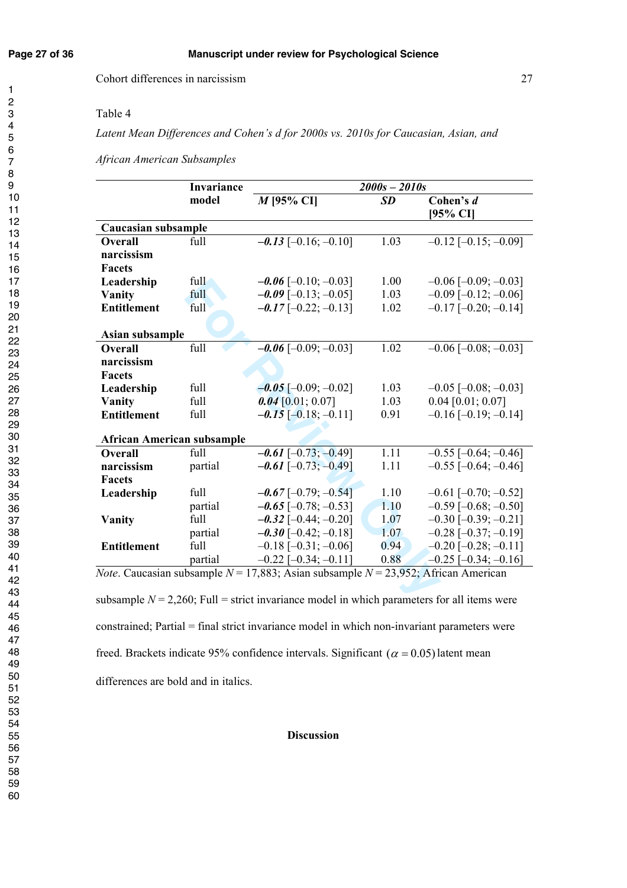### Table 4

*Latent Mean Differences and Cohen's d for 2000s vs. 2010s for Caucasian, Asian, and* 

*African American Subsamples* 

|                                   | Invariance |                                                                                                 | $2000s - 2010s$ |                               |
|-----------------------------------|------------|-------------------------------------------------------------------------------------------------|-----------------|-------------------------------|
|                                   | model      | $M$ [95% CI]                                                                                    | <b>SD</b>       | Cohen's d                     |
|                                   |            |                                                                                                 |                 | [95% CI]                      |
| Caucasian subsample               |            |                                                                                                 |                 |                               |
| <b>Overall</b>                    | full       | $-0.13$ [-0.16; -0.10]                                                                          | 1.03            | $-0.12$ [ $-0.15$ ; $-0.09$ ] |
| narcissism                        |            |                                                                                                 |                 |                               |
| <b>Facets</b>                     |            |                                                                                                 |                 |                               |
| Leadership                        | full       | $-0.06$ [-0.10; -0.03]                                                                          | 1.00            | $-0.06$ [ $-0.09$ ; $-0.03$ ] |
| Vanity                            | full       | $-0.09$ [-0.13; -0.05]                                                                          | 1.03            | $-0.09$ [ $-0.12$ ; $-0.06$ ] |
| <b>Entitlement</b>                | full       | $-0.17$ [-0.22; -0.13]                                                                          | 1.02            | $-0.17$ [ $-0.20$ ; $-0.14$ ] |
|                                   |            |                                                                                                 |                 |                               |
| Asian subsample                   |            |                                                                                                 |                 |                               |
| <b>Overall</b>                    | full       | $-0.06$ [-0.09; -0.03]                                                                          | 1.02            | $-0.06$ [ $-0.08$ ; $-0.03$ ] |
| narcissism                        |            |                                                                                                 |                 |                               |
| <b>Facets</b>                     |            |                                                                                                 |                 |                               |
| Leadership                        | full       | $-0.05$ [-0.09; -0.02]                                                                          | 1.03            | $-0.05$ [ $-0.08$ ; $-0.03$ ] |
| Vanity                            | full       | $0.04$ [0.01; 0.07]                                                                             | 1.03            | $0.04$ [0.01; 0.07]           |
| <b>Entitlement</b>                | full       | $-0.15$ [-0.18; -0.11]                                                                          | 0.91            | $-0.16$ [ $-0.19$ ; $-0.14$ ] |
|                                   |            |                                                                                                 |                 |                               |
| <b>African American subsample</b> |            |                                                                                                 |                 |                               |
| <b>Overall</b>                    | full       | $-0.61$ [-0.73; -0.49]                                                                          | 1.11            | $-0.55$ [ $-0.64$ ; $-0.46$ ] |
| narcissism                        | partial    | $-0.61$ [-0.73; -0.49]                                                                          | 1.11            | $-0.55$ [ $-0.64$ ; $-0.46$ ] |
| <b>Facets</b>                     |            |                                                                                                 |                 |                               |
| Leadership                        | full       | $-0.67$ [-0.79; -0.54]                                                                          | 1.10            | $-0.61$ [ $-0.70$ ; $-0.52$ ] |
|                                   | partial    | $-0.65$ [ $-0.78$ ; $-0.53$ ]                                                                   | 1.10            | $-0.59$ [ $-0.68$ ; $-0.50$ ] |
| Vanity                            | full       | $-0.32$ [-0.44; -0.20]                                                                          | 1.07            | $-0.30$ [ $-0.39$ ; $-0.21$ ] |
|                                   | partial    | $-0.30$ [-0.42; -0.18]                                                                          | 1.07            | $-0.28$ [ $-0.37$ ; $-0.19$ ] |
| <b>Entitlement</b>                | full       | $-0.18$ [ $-0.31$ ; $-0.06$ ]                                                                   | 0.94            | $-0.20$ [ $-0.28$ ; $-0.11$ ] |
|                                   | partial    | $-0.22$ [ $-0.34$ ; $-0.11$ ]                                                                   | 0.88            | $-0.25$ [ $-0.34$ ; $-0.16$ ] |
|                                   |            | <i>Note.</i> Caucasian subsample $N = 17,883$ ; Asian subsample $N = 23,952$ ; African American |                 |                               |
|                                   |            |                                                                                                 |                 |                               |
|                                   |            | subsample $N = 2,260$ ; Full = strict invariance model in which parameters for all items were   |                 |                               |

subsample  $N = 2,260$ ; Full = strict invariance model in which parameters for all items were constrained; Partial = final strict invariance model in which non-invariant parameters were freed. Brackets indicate 95% confidence intervals. Significant  $(\alpha = 0.05)$  latent mean differences are bold and in italics.

### **Discussion**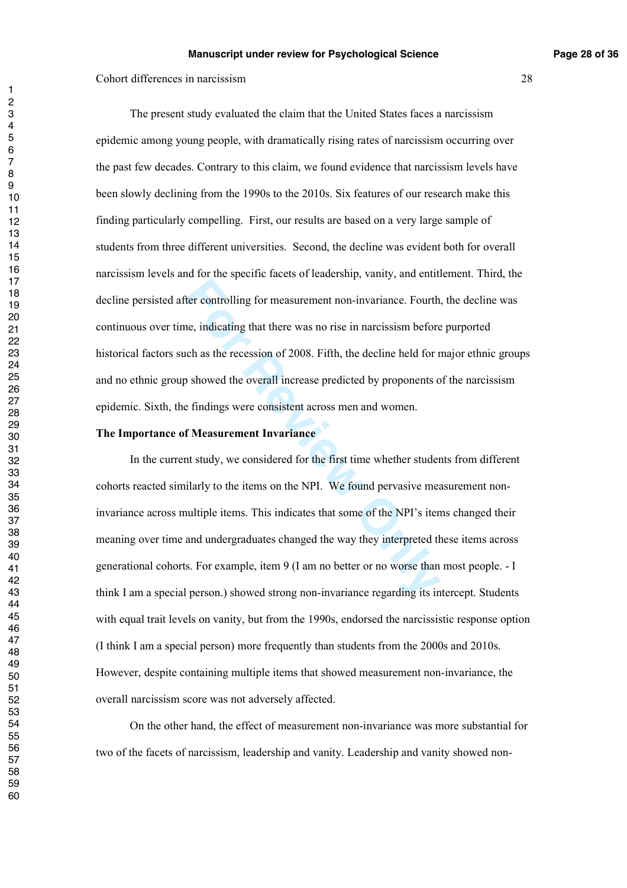The present study evaluated the claim that the United States faces a narcissism epidemic among young people, with dramatically rising rates of narcissism occurring over the past few decades. Contrary to this claim, we found evidence that narcissism levels have been slowly declining from the 1990s to the 2010s. Six features of our research make this finding particularly compelling. First, our results are based on a very large sample of students from three different universities. Second, the decline was evident both for overall narcissism levels and for the specific facets of leadership, vanity, and entitlement. Third, the decline persisted after controlling for measurement non-invariance. Fourth, the decline was continuous over time, indicating that there was no rise in narcissism before purported historical factors such as the recession of 2008. Fifth, the decline held for major ethnic groups and no ethnic group showed the overall increase predicted by proponents of the narcissism epidemic. Sixth, the findings were consistent across men and women.

#### **The Importance of Measurement Invariance**

For controlling for measurement non-invariance. Fourth,<br>ne, indicating that there was no rise in narcissism before<br>nch as the recession of 2008. Fifth, the decline held for n<br>p showed the overall increase predicted by prop In the current study, we considered for the first time whether students from different cohorts reacted similarly to the items on the NPI. We found pervasive measurement noninvariance across multiple items. This indicates that some of the NPI's items changed their meaning over time and undergraduates changed the way they interpreted these items across generational cohorts. For example, item 9 (I am no better or no worse than most people. - I think I am a special person.) showed strong non-invariance regarding its intercept. Students with equal trait levels on vanity, but from the 1990s, endorsed the narcissistic response option (I think I am a special person) more frequently than students from the 2000s and 2010s. However, despite containing multiple items that showed measurement non-invariance, the overall narcissism score was not adversely affected.

 On the other hand, the effect of measurement non-invariance was more substantial for two of the facets of narcissism, leadership and vanity. Leadership and vanity showed non-

 $\blacksquare$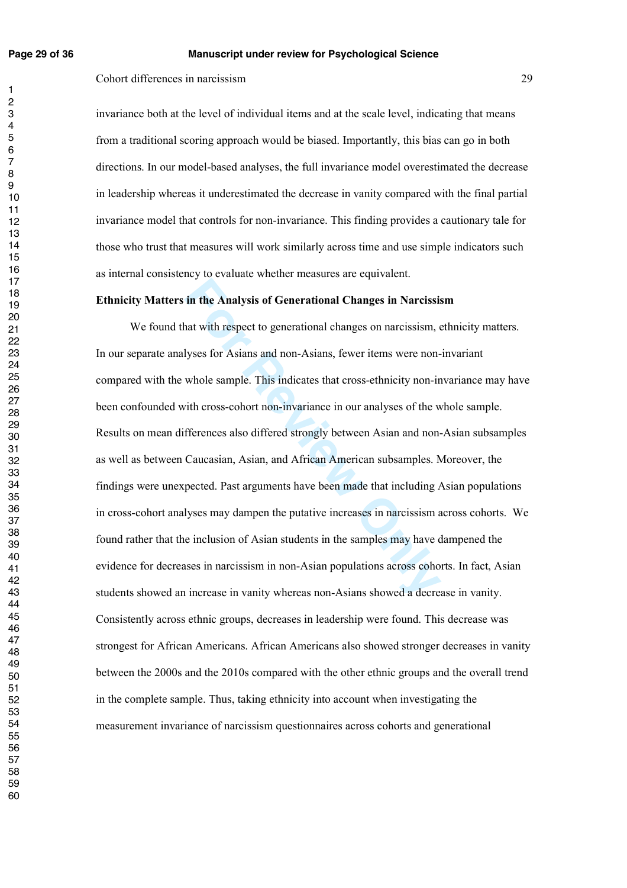#### **Page 29 of 36 Manuscript under review for Psychological Science**

Cohort differences in narcissism 29

invariance both at the level of individual items and at the scale level, indicating that means from a traditional scoring approach would be biased. Importantly, this bias can go in both directions. In our model-based analyses, the full invariance model overestimated the decrease in leadership whereas it underestimated the decrease in vanity compared with the final partial invariance model that controls for non-invariance. This finding provides a cautionary tale for those who trust that measures will work similarly across time and use simple indicators such as internal consistency to evaluate whether measures are equivalent.

#### **Ethnicity Matters in the Analysis of Generational Changes in Narcissism**

**Follow The Analysis of Generational Changes in Narcissis**<br>that with respect to generational changes on narcissism, e<br>lyses for Asians and non-Asians, fewer items were non-<br>whole sample. This indicates that cross-ethnicity We found that with respect to generational changes on narcissism, ethnicity matters. In our separate analyses for Asians and non-Asians, fewer items were non-invariant compared with the whole sample. This indicates that cross-ethnicity non-invariance may have been confounded with cross-cohort non-invariance in our analyses of the whole sample. Results on mean differences also differed strongly between Asian and non-Asian subsamples as well as between Caucasian, Asian, and African American subsamples. Moreover, the findings were unexpected. Past arguments have been made that including Asian populations in cross-cohort analyses may dampen the putative increases in narcissism across cohorts. We found rather that the inclusion of Asian students in the samples may have dampened the evidence for decreases in narcissism in non-Asian populations across cohorts. In fact, Asian students showed an increase in vanity whereas non-Asians showed a decrease in vanity. Consistently across ethnic groups, decreases in leadership were found. This decrease was strongest for African Americans. African Americans also showed stronger decreases in vanity between the 2000s and the 2010s compared with the other ethnic groups and the overall trend in the complete sample. Thus, taking ethnicity into account when investigating the measurement invariance of narcissism questionnaires across cohorts and generational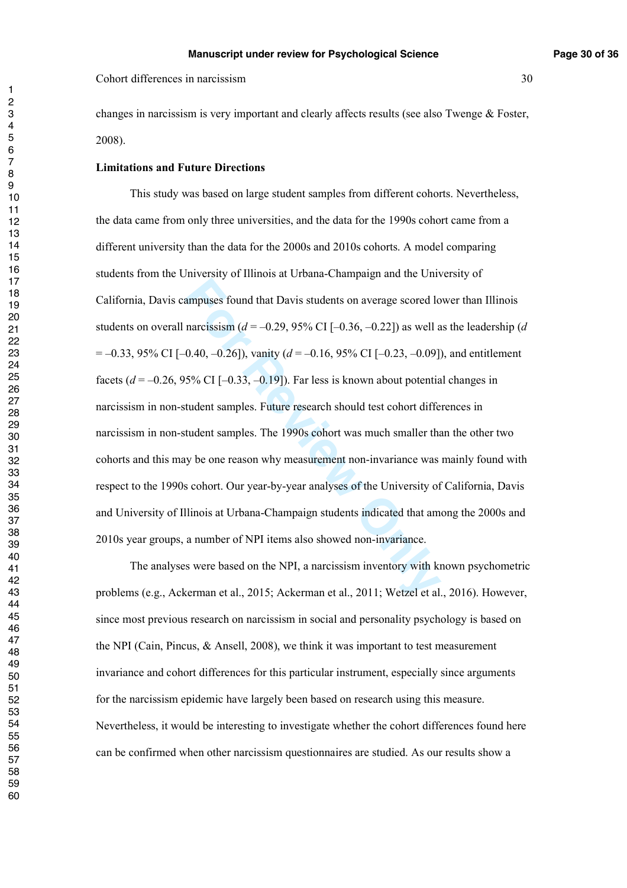changes in narcissism is very important and clearly affects results (see also Twenge  $\&$  Foster, 2008).

#### **Limitations and Future Directions**

ampuses found that Davis students on average scored lo<br>narcissism ( $d = -0.29$ , 95% CI [ $-0.36$ ,  $-0.22$ ]) as well a<br>0.40,  $-0.26$ ]), vanity ( $d = -0.16$ , 95% CI [ $-0.23$ ,  $-0.09$ ])<br>5% CI [ $-0.33$ ,  $-0.19$ ]). Far less is know This study was based on large student samples from different cohorts. Nevertheless, the data came from only three universities, and the data for the 1990s cohort came from a different university than the data for the 2000s and 2010s cohorts. A model comparing students from the University of Illinois at Urbana-Champaign and the University of California, Davis campuses found that Davis students on average scored lower than Illinois students on overall narcissism  $(d = -0.29, 95\% \text{ CI} [-0.36, -0.22])$  as well as the leadership  $(d = -0.29, 95\% \text{ CI} [-0.36, -0.22])$ = –0.33, 95% CI [–0.40, –0.26]), vanity ( *d* = –0.16, 95% CI [–0.23, –0.09]), and entitlement facets  $(d = -0.26, 95\% \text{ CI} [-0.33, -0.19])$ . Far less is known about potential changes in narcissism in non-student samples. Future research should test cohort differences in narcissism in non-student samples. The 1990s cohort was much smaller than the other two cohorts and this may be one reason why measurement non-invariance was mainly found with respect to the 1990s cohort. Our year-by-year analyses of the University of California, Davis and University of Illinois at Urbana-Champaign students indicated that among the 2000s and 2010s year groups, a number of NPI items also showed non-invariance.

 The analyses were based on the NPI, a narcissism inventory with known psychometric problems (e.g., Ackerman et al., 2015; Ackerman et al., 2011; Wetzel et al., 2016). However, since most previous research on narcissism in social and personality psychology is based on the NPI (Cain, Pincus,  $\&$  Ansell, 2008), we think it was important to test measurement invariance and cohort differences for this particular instrument, especially since arguments for the narcissism epidemic have largely been based on research using this measure. Nevertheless, it would be interesting to investigate whether the cohort differences found here can be confirmed when other narcissism questionnaires are studied. As our results show a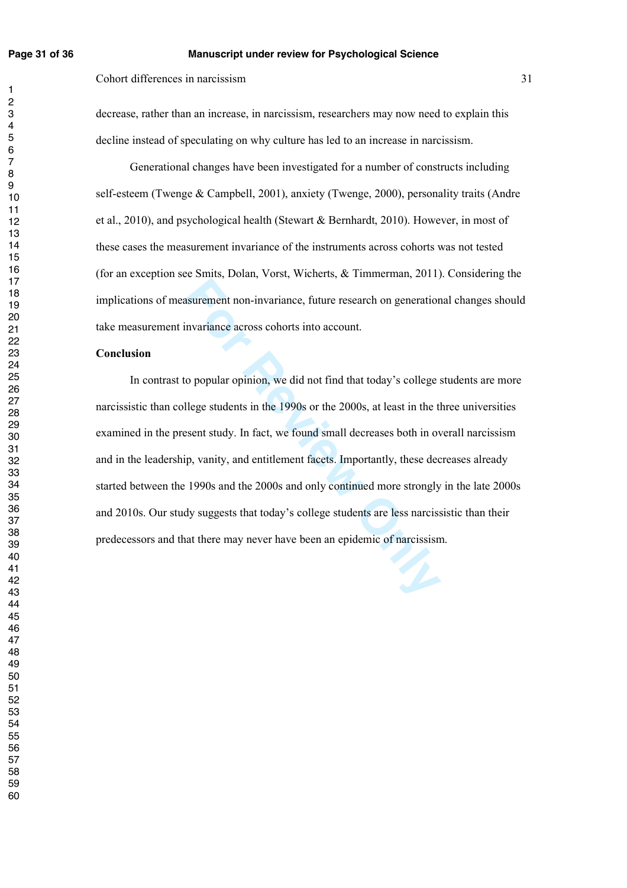$\mathbf{1}$ 

#### **Page 31 of 36 Manuscript under review for Psychological Science**

Cohort differences in narcissism 31

decrease, rather than an increase, in narcissism, researchers may now need to explain this decline instead of speculating on why culture has led to an increase in narcissism.

 Generational changes have been investigated for a number of constructs including self-esteem (Twenge & Campbell, 2001), anxiety (Twenge, 2000), personality traits (Andre et al., 2010), and psychological health (Stewart & Bernhardt, 2010). However, in most of these cases the measurement invariance of the instruments across cohorts was not tested (for an exception see Smits, Dolan, Vorst, Wicherts, & Timmerman, 2011). Considering the implications of measurement non-invariance, future research on generational changes should take measurement invariance across cohorts into account.

#### **Conclusion**

asurement non-invariance, future research on generation<br>
invariance across cohorts into account.<br>
Co popular opinion, we did not find that today's college s<br>
Ilege students in the 1990s or the 2000s, at least in the th<br>
Ex In contrast to popular opinion, we did not find that today's college students are more narcissistic than college students in the 1990s or the 2000s, at least in the three universities examined in the present study. In fact, we found small decreases both in overall narcissism and in the leadership, vanity, and entitlement facets. Importantly, these decreases already started between the 1990s and the 2000s and only continued more strongly in the late 2000s and 2010s. Our study suggests that today's college students are less narcissistic than their predecessors and that there may never have been an epidemic of narcissism.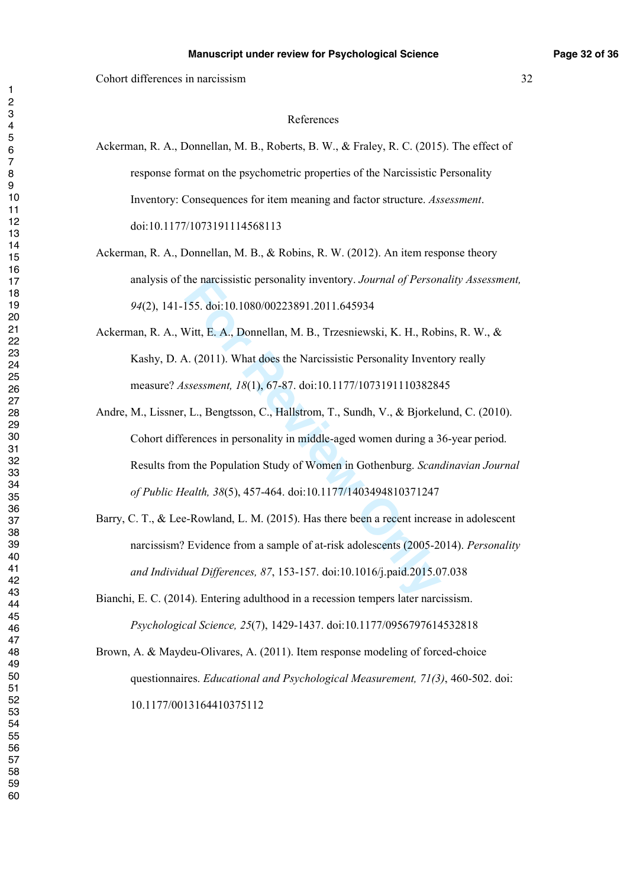#### References

- Ackerman, R. A., Donnellan, M. B., Roberts, B. W., & Fraley, R. C. (2015). The effect of response format on the psychometric properties of the Narcissistic Personality Inventory: Consequences for item meaning and factor structure. *Assessment*. doi:10.1177/1073191114568113
- Ackerman, R. A., Donnellan, M. B., & Robins, R. W. (2012). An item response theory analysis of the narcissistic personality inventory. *Journal of Personality Assessment,*  (2), 141-155. doi:10.1080/00223891.2011.645934
- Ackerman, R. A., Witt, E. A., Donnellan, M. B., Trzesniewski, K. H., Robins, R. W., & Kashy, D. A. (2011). What does the Narcissistic Personality Inventory really measure? *Assessment, 18*(1), 67-87. doi:10.1177/1073191110382845
- me narcissistic personality inventory. Journal of *Ferson*<br>155. doi:10.1080/00223891.2011.645934<br>Witt, E. A., Donnellan, M. B., Trzesniewski, K. H., Robi<br>A. (2011). What does the Narcissistic Personality Invento<br>ssessment, Andre, M., Lissner, L., Bengtsson, C., Hallstrom, T., Sundh, V., & Bjorkelund, C. (2010). Cohort differences in personality in middle-aged women during a 36-year period. Results from the Population Study of Women in Gothenburg. *Scandinavian Journal of Public Health, 38*(5), 457-464. doi:10.1177/1403494810371247
- Barry, C. T., & Lee-Rowland, L. M. (2015). Has there been a recent increase in adolescent narcissism? Evidence from a sample of at-risk adolescents (2005-2014). *Personality and Individual Differences, 87*, 153-157. doi:10.1016/j.paid.2015.07.038

Bianchi, E. C. (2014). Entering adulthood in a recession tempers later narcissism. *Psychological Science, 25*(7), 1429-1437. doi:10.1177/0956797614532818

Brown, A. & Maydeu-Olivares, A. (2011). Item response modeling of forced-choice questionnaires. *Educational and Psychological Measurement, 71(3)*, 460-502. doi: 10.1177/0013164410375112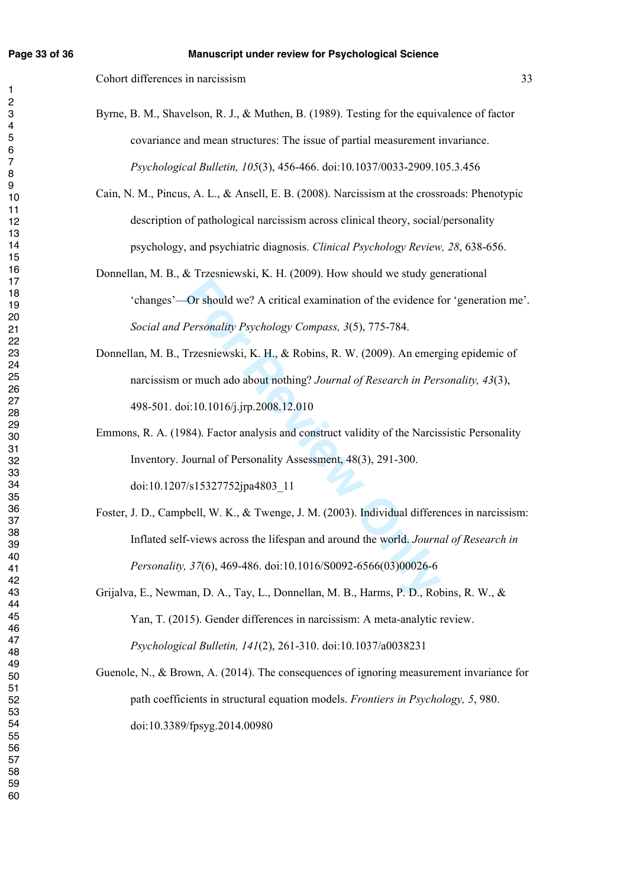$\mathbf{1}$ 

Cohort differences in narcissism 33

- Byrne, B. M., Shavelson, R. J., & Muthen, B. (1989). Testing for the equivalence of factor covariance and mean structures: The issue of partial measurement invariance. *Psychological Bulletin, 105*(3), 456-466. doi:10.1037/0033-2909.105.3.456
- Cain, N. M., Pincus, A. L., & Ansell, E. B. (2008). Narcissism at the crossroads: Phenotypic description of pathological narcissism across clinical theory, social/personality psychology, and psychiatric diagnosis. *Clinical Psychology Review, 28*, 638-656.
- Donnellan, M. B., & Trzesniewski, K. H. (2009). How should we study generational 'changes'—Or should we? A critical examination of the evidence for 'generation me'. *Social and Personality Psychology Compass, 3*(5), 775-784.
- Donnellan, M. B., Trzesniewski, K. H., & Robins, R. W. (2009). An emerging epidemic of narcissism or much ado about nothing? *Journal of Research in Personality, 43*(3), 498-501. doi:10.1016/j.jrp.2008.12.010
- Emmons, R. A. (1984). Factor analysis and construct validity of the Narcissistic Personality Inventory. Journal of Personality Assessment, 48(3), 291-300. doi:10.1207/s15327752jpa4803\_11
- **For Should we? A critical examination of the evidence for Fersonality Psychology Compass, 3(5), 775-784.**<br> **Frzesniewski, K. H., & Robins, R. W. (2009). An emergor much ado about nothing?** Journal of Research in Pers<br> **Fr** Foster, J. D., Campbell, W. K., & Twenge, J. M. (2003). Individual differences in narcissism: Inflated self-views across the lifespan and around the world. *Journal of Research in Personality, 37*(6), 469-486. doi:10.1016/S0092-6566(03)00026-6
- Grijalva, E., Newman, D. A., Tay, L., Donnellan, M. B., Harms, P. D., Robins, R. W., & Yan, T. (2015). Gender differences in narcissism: A meta-analytic review. *Psychological Bulletin, 141*(2), 261-310. doi:10.1037/a0038231
- Guenole, N., & Brown, A. (2014). The consequences of ignoring measurement invariance for path coefficients in structural equation models. *Frontiers in Psychology, 5*, 980. doi:10.3389/fpsyg.2014.00980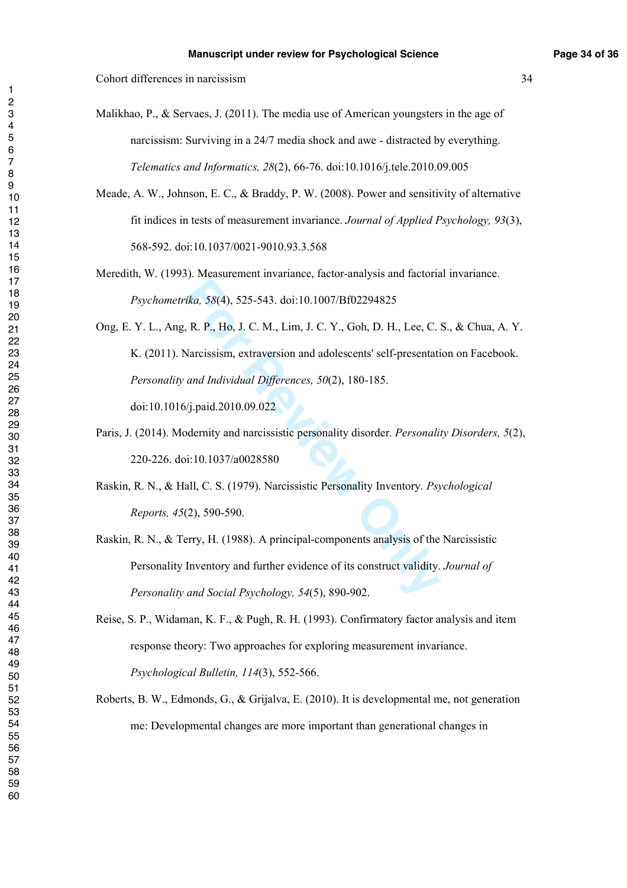Cohort differences in narcissism 34

Malikhao, P., & Servaes, J. (2011). The media use of American youngsters in the age of narcissism: Surviving in a 24/7 media shock and awe - distracted by everything. *Telematics and Informatics, 28*(2), 66-76. doi:10.1016/j.tele.2010.09.005

Meade, A. W., Johnson, E. C., & Braddy, P. W. (2008). Power and sensitivity of alternative fit indices in tests of measurement invariance. *Journal of Applied Psychology, 93*(3), 568-592. doi:10.1037/0021-9010.93.3.568

Meredith, W. (1993). Measurement invariance, factor-analysis and factorial invariance. *Psychometrika, 58*(4), 525-543. doi:10.1007/Bf02294825

*ika, 58*(4), 525-543. doi:10.1007/Bf02294825<br>
, R. P., Ho, J. C. M., Lim, J. C. Y., Goh, D. H., Lee, C. S<br>
Narcissism, extraversion and adolescents' self-presentati<br> *and Individual Differences, 50*(2), 180-185.<br> *Si*, *j* Ong, E. Y. L., Ang, R. P., Ho, J. C. M., Lim, J. C. Y., Goh, D. H., Lee, C. S., & Chua, A. Y. K. (2011). Narcissism, extraversion and adolescents' self-presentation on Facebook. *Personality and Individual Differences, 50*(2), 180-185. doi:10.1016/j.paid.2010.09.022

Paris, J. (2014). Modernity and narcissistic personality disorder. *Personality Disorders, 5*(2), 220-226. doi:10.1037/a0028580

Raskin, R. N., & Hall, C. S. (1979). Narcissistic Personality Inventory. *Psychological Reports, 45*(2), 590-590.

Raskin, R. N., & Terry, H. (1988). A principal-components analysis of the Narcissistic Personality Inventory and further evidence of its construct validity. *Journal of Personality and Social Psychology, 54*(5), 890-902.

Reise, S. P., Widaman, K. F., & Pugh, R. H. (1993). Confirmatory factor analysis and item response theory: Two approaches for exploring measurement invariance. *Psychological Bulletin, 114*(3), 552-566.

Roberts, B. W., Edmonds, G., & Grijalva, E. (2010). It is developmental me, not generation me: Developmental changes are more important than generational changes in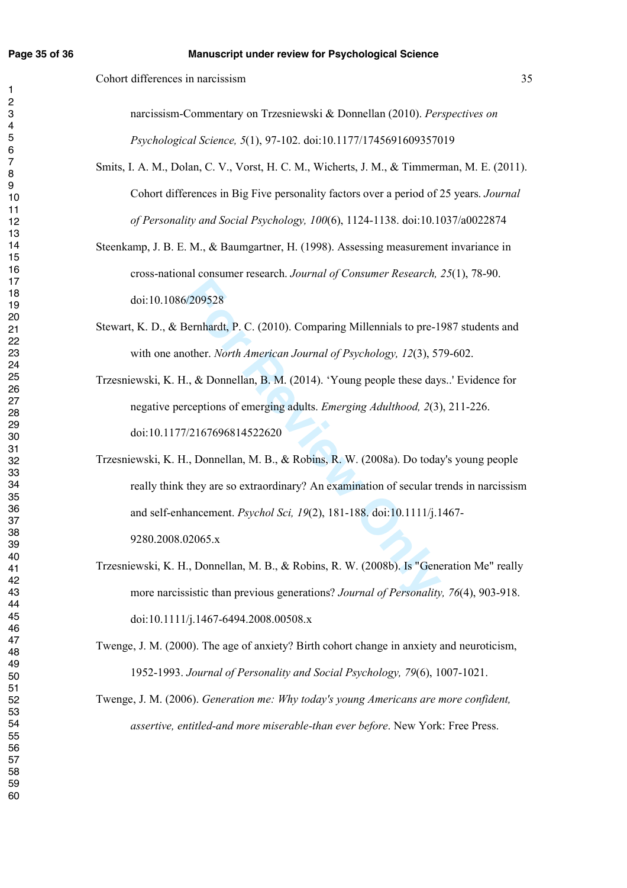$\mathbf{1}$ 

Cohort differences in narcissism 35

narcissism-Commentary on Trzesniewski & Donnellan (2010). *Perspectives on Psychological Science, 5*(1), 97-102. doi:10.1177/1745691609357019

- Smits, I. A. M., Dolan, C. V., Vorst, H. C. M., Wicherts, J. M., & Timmerman, M. E. (2011). Cohort differences in Big Five personality factors over a period of 25 years. *Journal of Personality and Social Psychology, 100*(6), 1124-1138. doi:10.1037/a0022874
- Steenkamp, J. B. E. M., & Baumgartner, H. (1998). Assessing measurement invariance in cross-national consumer research. *Journal of Consumer Research, 25*(1), 78-90. doi:10.1086/209528
- Stewart, K. D., & Bernhardt, P. C. (2010). Comparing Millennials to pre-1987 students and with one another. *North American Journal of Psychology, 12*(3), 579-602.
- Trzesniewski, K. H., & Donnellan, B. M. (2014). 'Young people these days..' Evidence for negative perceptions of emerging adults. *Emerging Adulthood, 2*(3), 211-226. doi:10.1177/2167696814522620
- S/209528<br>
Bernhardt, P. C. (2010). Comparing Millennials to pre-19<br>
other. *North American Journal of Psychology*, 12(3), 57<br>
I., & Donnellan, B. M. (2014). 'Young people these day.<br>
reeptions of emerging adults. *Emerging* Trzesniewski, K. H., Donnellan, M. B., & Robins, R. W. (2008a). Do today's young people really think they are so extraordinary? An examination of secular trends in narcissism and self-enhancement. *Psychol Sci, 19*(2), 181-188. doi:10.1111/j.1467- 9280.2008.02065.x
- Trzesniewski, K. H., Donnellan, M. B., & Robins, R. W. (2008b). Is "Generation Me" really more narcissistic than previous generations? *Journal of Personality, 76*(4), 903-918. doi:10.1111/j.1467-6494.2008.00508.x

Twenge, J. M. (2000). The age of anxiety? Birth cohort change in anxiety and neuroticism, 1952-1993. *Journal of Personality and Social Psychology, 79*(6), 1007-1021.

Twenge, J. M. (2006). *Generation me: Why today's young Americans are more confident, assertive, entitled-and more miserable-than ever before*. New York: Free Press.